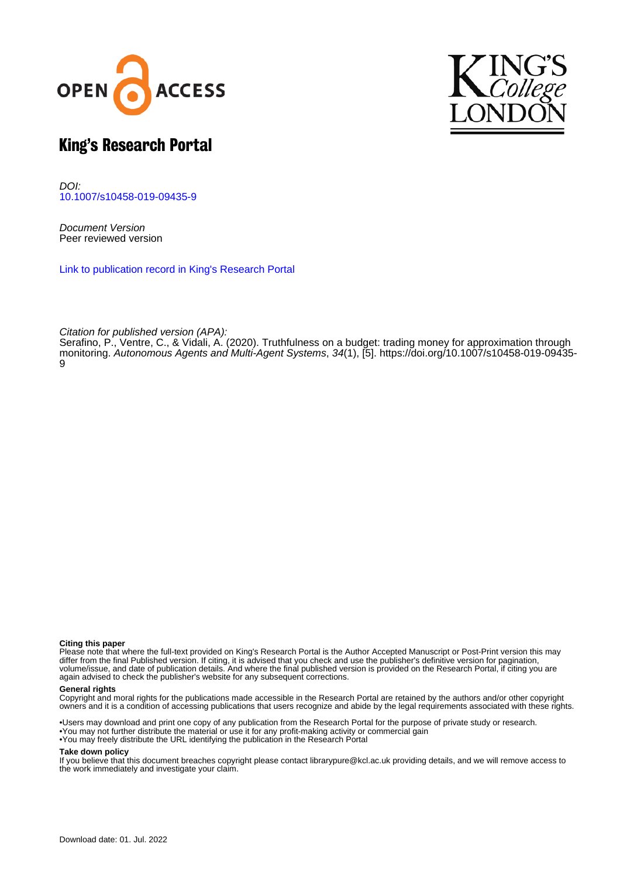



# King's Research Portal

DOI: [10.1007/s10458-019-09435-9](https://doi.org/10.1007/s10458-019-09435-9)

Document Version Peer reviewed version

[Link to publication record in King's Research Portal](https://kclpure.kcl.ac.uk/portal/en/publications/truthfulness-on-a-budget(fed8417b-7b39-4e0d-bc24-80df9e6ea943).html)

Citation for published version (APA):

Serafino, P[., Ventre, C.,](https://kclpure.kcl.ac.uk/portal/en/persons/carmine-ventre(3ab9fd55-5af0-40ab-a46d-ac2324afd51d).html) & Vidali, A. (2020). [Truthfulness on a budget: trading money for approximation through](https://kclpure.kcl.ac.uk/portal/en/publications/truthfulness-on-a-budget(fed8417b-7b39-4e0d-bc24-80df9e6ea943).html) [monitoring.](https://kclpure.kcl.ac.uk/portal/en/publications/truthfulness-on-a-budget(fed8417b-7b39-4e0d-bc24-80df9e6ea943).html) [Autonomous Agents and Multi-Agent Systems](https://kclpure.kcl.ac.uk/portal/en/journals/autonomous-agents-and-multiagent-systems(f2e8025a-d8f7-4237-bc41-2cd96ff62321).html), 34(1), [5]. [https://doi.org/10.1007/s10458-019-09435-](https://doi.org/10.1007/s10458-019-09435-9) [9](https://doi.org/10.1007/s10458-019-09435-9)

#### **Citing this paper**

Please note that where the full-text provided on King's Research Portal is the Author Accepted Manuscript or Post-Print version this may differ from the final Published version. If citing, it is advised that you check and use the publisher's definitive version for pagination, volume/issue, and date of publication details. And where the final published version is provided on the Research Portal, if citing you are again advised to check the publisher's website for any subsequent corrections.

# **General rights**

Copyright and moral rights for the publications made accessible in the Research Portal are retained by the authors and/or other copyright owners and it is a condition of accessing publications that users recognize and abide by the legal requirements associated with these rights.

•Users may download and print one copy of any publication from the Research Portal for the purpose of private study or research. •You may not further distribute the material or use it for any profit-making activity or commercial gain •You may freely distribute the URL identifying the publication in the Research Portal

# **Take down policy**

If you believe that this document breaches copyright please contact librarypure@kcl.ac.uk providing details, and we will remove access to the work immediately and investigate your claim.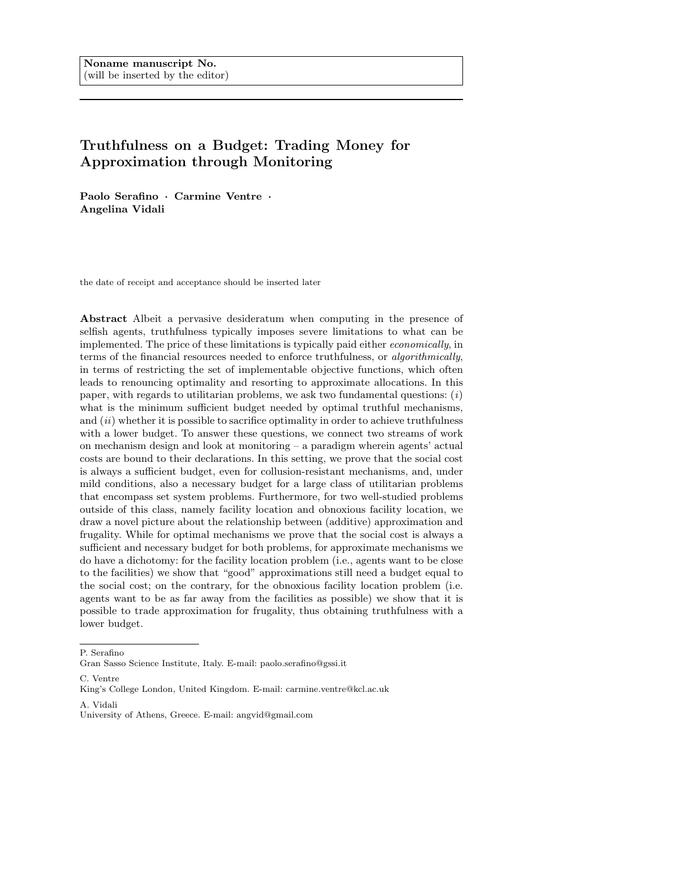# Truthfulness on a Budget: Trading Money for Approximation through Monitoring

Paolo Serafino · Carmine Ventre · Angelina Vidali

the date of receipt and acceptance should be inserted later

Abstract Albeit a pervasive desideratum when computing in the presence of selfish agents, truthfulness typically imposes severe limitations to what can be implemented. The price of these limitations is typically paid either economically, in terms of the financial resources needed to enforce truthfulness, or algorithmically, in terms of restricting the set of implementable objective functions, which often leads to renouncing optimality and resorting to approximate allocations. In this paper, with regards to utilitarian problems, we ask two fundamental questions:  $(i)$ what is the minimum sufficient budget needed by optimal truthful mechanisms, and  $(ii)$  whether it is possible to sacrifice optimality in order to achieve truthfulness with a lower budget. To answer these questions, we connect two streams of work on mechanism design and look at monitoring – a paradigm wherein agents' actual costs are bound to their declarations. In this setting, we prove that the social cost is always a sufficient budget, even for collusion-resistant mechanisms, and, under mild conditions, also a necessary budget for a large class of utilitarian problems that encompass set system problems. Furthermore, for two well-studied problems outside of this class, namely facility location and obnoxious facility location, we draw a novel picture about the relationship between (additive) approximation and frugality. While for optimal mechanisms we prove that the social cost is always a sufficient and necessary budget for both problems, for approximate mechanisms we do have a dichotomy: for the facility location problem (i.e., agents want to be close to the facilities) we show that "good" approximations still need a budget equal to the social cost; on the contrary, for the obnoxious facility location problem (i.e. agents want to be as far away from the facilities as possible) we show that it is possible to trade approximation for frugality, thus obtaining truthfulness with a lower budget.

Gran Sasso Science Institute, Italy. E-mail: paolo.serafino@gssi.it

C. Ventre

King's College London, United Kingdom. E-mail: carmine.ventre@kcl.ac.uk

A. Vidali

P. Serafino

University of Athens, Greece. E-mail: angvid@gmail.com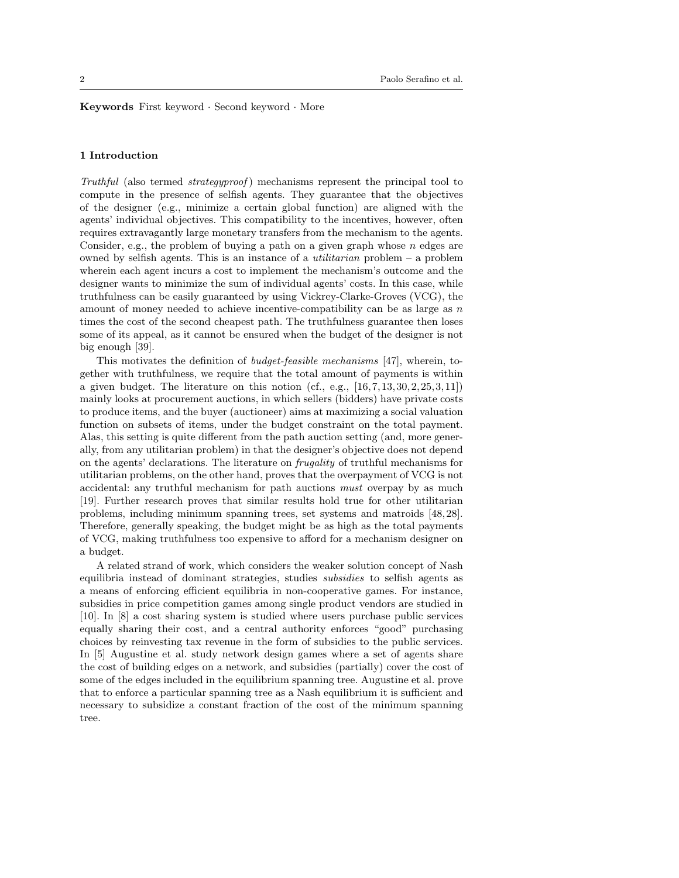Keywords First keyword · Second keyword · More

# 1 Introduction

Truthful (also termed *strategyproof*) mechanisms represent the principal tool to compute in the presence of selfish agents. They guarantee that the objectives of the designer (e.g., minimize a certain global function) are aligned with the agents' individual objectives. This compatibility to the incentives, however, often requires extravagantly large monetary transfers from the mechanism to the agents. Consider, e.g., the problem of buying a path on a given graph whose  $n$  edges are owned by selfish agents. This is an instance of a *utilitarian* problem  $-$  a problem wherein each agent incurs a cost to implement the mechanism's outcome and the designer wants to minimize the sum of individual agents' costs. In this case, while truthfulness can be easily guaranteed by using Vickrey-Clarke-Groves (VCG), the amount of money needed to achieve incentive-compatibility can be as large as  $n$ times the cost of the second cheapest path. The truthfulness guarantee then loses some of its appeal, as it cannot be ensured when the budget of the designer is not big enough [39].

This motivates the definition of budget-feasible mechanisms [47], wherein, together with truthfulness, we require that the total amount of payments is within a given budget. The literature on this notion (cf., e.g.,  $[16, 7, 13, 30, 2, 25, 3, 11]$ ) mainly looks at procurement auctions, in which sellers (bidders) have private costs to produce items, and the buyer (auctioneer) aims at maximizing a social valuation function on subsets of items, under the budget constraint on the total payment. Alas, this setting is quite different from the path auction setting (and, more generally, from any utilitarian problem) in that the designer's objective does not depend on the agents' declarations. The literature on frugality of truthful mechanisms for utilitarian problems, on the other hand, proves that the overpayment of VCG is not accidental: any truthful mechanism for path auctions must overpay by as much [19]. Further research proves that similar results hold true for other utilitarian problems, including minimum spanning trees, set systems and matroids [48, 28]. Therefore, generally speaking, the budget might be as high as the total payments of VCG, making truthfulness too expensive to afford for a mechanism designer on a budget.

A related strand of work, which considers the weaker solution concept of Nash equilibria instead of dominant strategies, studies subsidies to selfish agents as a means of enforcing efficient equilibria in non-cooperative games. For instance, subsidies in price competition games among single product vendors are studied in [10]. In [8] a cost sharing system is studied where users purchase public services equally sharing their cost, and a central authority enforces "good" purchasing choices by reinvesting tax revenue in the form of subsidies to the public services. In [5] Augustine et al. study network design games where a set of agents share the cost of building edges on a network, and subsidies (partially) cover the cost of some of the edges included in the equilibrium spanning tree. Augustine et al. prove that to enforce a particular spanning tree as a Nash equilibrium it is sufficient and necessary to subsidize a constant fraction of the cost of the minimum spanning tree.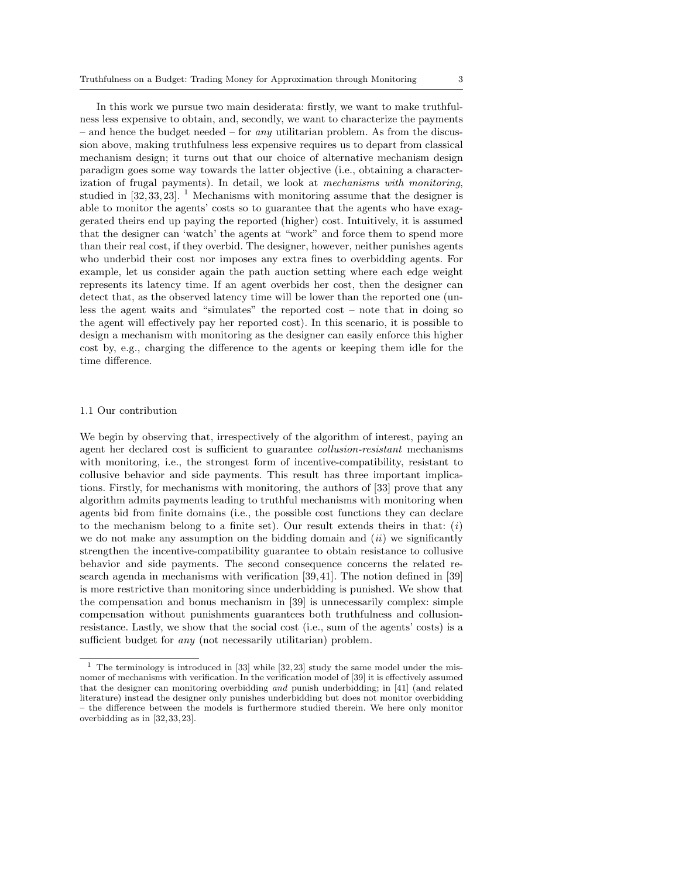In this work we pursue two main desiderata: firstly, we want to make truthfulness less expensive to obtain, and, secondly, we want to characterize the payments – and hence the budget needed – for *any* utilitarian problem. As from the discussion above, making truthfulness less expensive requires us to depart from classical mechanism design; it turns out that our choice of alternative mechanism design paradigm goes some way towards the latter objective (i.e., obtaining a characterization of frugal payments). In detail, we look at mechanisms with monitoring, studied in  $[32, 33, 23]$ . <sup>1</sup> Mechanisms with monitoring assume that the designer is able to monitor the agents' costs so to guarantee that the agents who have exaggerated theirs end up paying the reported (higher) cost. Intuitively, it is assumed that the designer can 'watch' the agents at "work" and force them to spend more than their real cost, if they overbid. The designer, however, neither punishes agents who underbid their cost nor imposes any extra fines to overbidding agents. For example, let us consider again the path auction setting where each edge weight represents its latency time. If an agent overbids her cost, then the designer can detect that, as the observed latency time will be lower than the reported one (unless the agent waits and "simulates" the reported cost – note that in doing so the agent will effectively pay her reported cost). In this scenario, it is possible to design a mechanism with monitoring as the designer can easily enforce this higher cost by, e.g., charging the difference to the agents or keeping them idle for the time difference.

#### 1.1 Our contribution

We begin by observing that, irrespectively of the algorithm of interest, paying an agent her declared cost is sufficient to guarantee collusion-resistant mechanisms with monitoring, i.e., the strongest form of incentive-compatibility, resistant to collusive behavior and side payments. This result has three important implications. Firstly, for mechanisms with monitoring, the authors of [33] prove that any algorithm admits payments leading to truthful mechanisms with monitoring when agents bid from finite domains (i.e., the possible cost functions they can declare to the mechanism belong to a finite set). Our result extends theirs in that:  $(i)$ we do not make any assumption on the bidding domain and  $(ii)$  we significantly strengthen the incentive-compatibility guarantee to obtain resistance to collusive behavior and side payments. The second consequence concerns the related research agenda in mechanisms with verification [39, 41]. The notion defined in [39] is more restrictive than monitoring since underbidding is punished. We show that the compensation and bonus mechanism in [39] is unnecessarily complex: simple compensation without punishments guarantees both truthfulness and collusionresistance. Lastly, we show that the social cost (i.e., sum of the agents' costs) is a sufficient budget for *any* (not necessarily utilitarian) problem.

 $1$  The terminology is introduced in [33] while [32,23] study the same model under the misnomer of mechanisms with verification. In the verification model of [39] it is effectively assumed that the designer can monitoring overbidding and punish underbidding; in [41] (and related literature) instead the designer only punishes underbidding but does not monitor overbidding – the difference between the models is furthermore studied therein. We here only monitor overbidding as in [32, 33,23].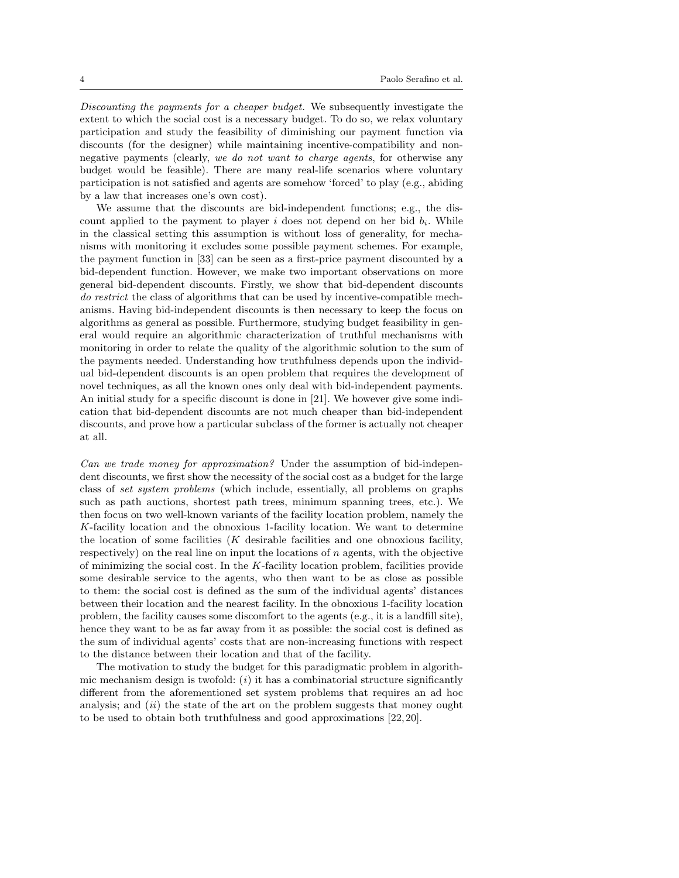Discounting the payments for a cheaper budget. We subsequently investigate the extent to which the social cost is a necessary budget. To do so, we relax voluntary participation and study the feasibility of diminishing our payment function via discounts (for the designer) while maintaining incentive-compatibility and nonnegative payments (clearly, we do not want to charge agents, for otherwise any budget would be feasible). There are many real-life scenarios where voluntary participation is not satisfied and agents are somehow 'forced' to play (e.g., abiding by a law that increases one's own cost).

We assume that the discounts are bid-independent functions; e.g., the discount applied to the payment to player  $i$  does not depend on her bid  $b_i$ . While in the classical setting this assumption is without loss of generality, for mechanisms with monitoring it excludes some possible payment schemes. For example, the payment function in [33] can be seen as a first-price payment discounted by a bid-dependent function. However, we make two important observations on more general bid-dependent discounts. Firstly, we show that bid-dependent discounts do restrict the class of algorithms that can be used by incentive-compatible mechanisms. Having bid-independent discounts is then necessary to keep the focus on algorithms as general as possible. Furthermore, studying budget feasibility in general would require an algorithmic characterization of truthful mechanisms with monitoring in order to relate the quality of the algorithmic solution to the sum of the payments needed. Understanding how truthfulness depends upon the individual bid-dependent discounts is an open problem that requires the development of novel techniques, as all the known ones only deal with bid-independent payments. An initial study for a specific discount is done in [21]. We however give some indication that bid-dependent discounts are not much cheaper than bid-independent discounts, and prove how a particular subclass of the former is actually not cheaper at all.

Can we trade money for approximation? Under the assumption of bid-independent discounts, we first show the necessity of the social cost as a budget for the large class of set system problems (which include, essentially, all problems on graphs such as path auctions, shortest path trees, minimum spanning trees, etc.). We then focus on two well-known variants of the facility location problem, namely the K-facility location and the obnoxious 1-facility location. We want to determine the location of some facilities  $(K$  desirable facilities and one obnoxious facility, respectively) on the real line on input the locations of  $n$  agents, with the objective of minimizing the social cost. In the  $K$ -facility location problem, facilities provide some desirable service to the agents, who then want to be as close as possible to them: the social cost is defined as the sum of the individual agents' distances between their location and the nearest facility. In the obnoxious 1-facility location problem, the facility causes some discomfort to the agents (e.g., it is a landfill site), hence they want to be as far away from it as possible: the social cost is defined as the sum of individual agents' costs that are non-increasing functions with respect to the distance between their location and that of the facility.

The motivation to study the budget for this paradigmatic problem in algorithmic mechanism design is twofold:  $(i)$  it has a combinatorial structure significantly different from the aforementioned set system problems that requires an ad hoc analysis; and  $(ii)$  the state of the art on the problem suggests that money ought to be used to obtain both truthfulness and good approximations [22, 20].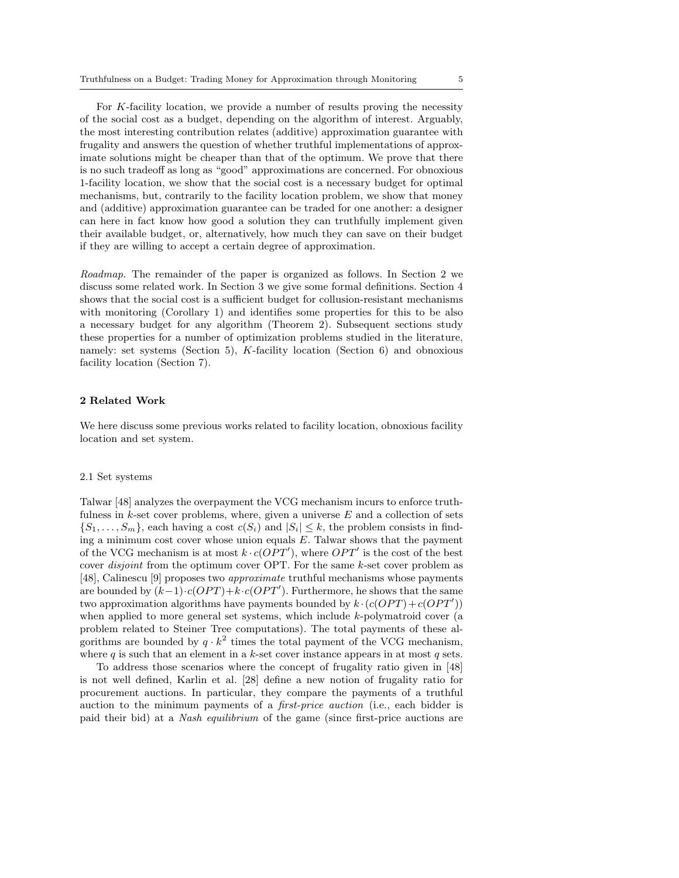For K-facility location, we provide a number of results proving the necessity of the social cost as a budget, depending on the algorithm of interest. Arguably, the most interesting contribution relates (additive) approximation guarantee with frugality and answers the question of whether truthful implementations of approximate solutions might be cheaper than that of the optimum. We prove that there is no such tradeoff as long as "good" approximations are concerned. For obnoxious 1-facility location, we show that the social cost is a necessary budget for optimal mechanisms, but, contrarily to the facility location problem, we show that money and (additive) approximation guarantee can be traded for one another: a designer can here in fact know how good a solution they can truthfully implement given their available budget, or, alternatively, how much they can save on their budget if they are willing to accept a certain degree of approximation.

Roadmap. The remainder of the paper is organized as follows. In Section 2 we discuss some related work. In Section 3 we give some formal definitions. Section 4 shows that the social cost is a sufficient budget for collusion-resistant mechanisms with monitoring (Corollary 1) and identifies some properties for this to be also a necessary budget for any algorithm (Theorem 2). Subsequent sections study these properties for a number of optimization problems studied in the literature, namely: set systems (Section 5),  $K$ -facility location (Section 6) and obnoxious facility location (Section 7).

# 2 Related Work

We here discuss some previous works related to facility location, obnoxious facility location and set system.

#### 2.1 Set systems

Talwar [48] analyzes the overpayment the VCG mechanism incurs to enforce truthfulness in  $k$ -set cover problems, where, given a universe  $E$  and a collection of sets  $\{S_1, \ldots, S_m\}$ , each having a cost  $c(S_i)$  and  $|S_i| \leq k$ , the problem consists in finding a minimum cost cover whose union equals  $E$ . Talwar shows that the payment of the VCG mechanism is at most  $k \cdot c(OPT')$ , where  $OPT'$  is the cost of the best cover *disjoint* from the optimum cover OPT. For the same k-set cover problem as [48], Calinescu [9] proposes two approximate truthful mechanisms whose payments are bounded by  $(k-1)\cdot c(OPT) + k\cdot c(OPT')$ . Furthermore, he shows that the same two approximation algorithms have payments bounded by  $k \cdot (c(OPT) + c(OPT'))$ when applied to more general set systems, which include  $k$ -polymatroid cover (a problem related to Steiner Tree computations). The total payments of these algorithms are bounded by  $q \cdot k^2$  times the total payment of the VCG mechanism, where q is such that an element in a k-set cover instance appears in at most q sets.

To address those scenarios where the concept of frugality ratio given in [48] is not well defined, Karlin et al. [28] define a new notion of frugality ratio for procurement auctions. In particular, they compare the payments of a truthful auction to the minimum payments of a first-price auction (i.e., each bidder is paid their bid) at a Nash equilibrium of the game (since first-price auctions are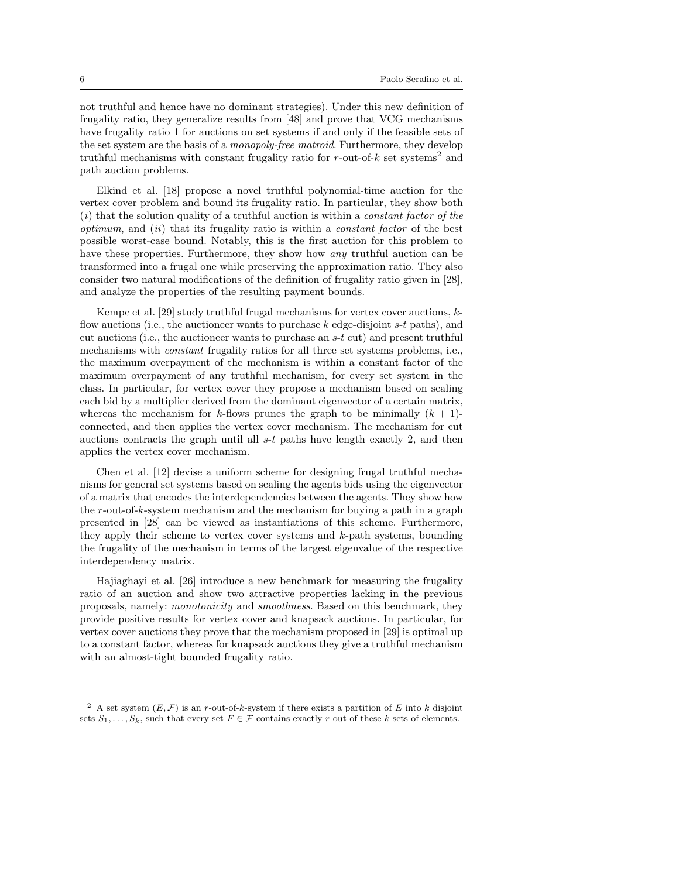not truthful and hence have no dominant strategies). Under this new definition of frugality ratio, they generalize results from [48] and prove that VCG mechanisms have frugality ratio 1 for auctions on set systems if and only if the feasible sets of the set system are the basis of a monopoly-free matroid. Furthermore, they develop truthful mechanisms with constant frugality ratio for  $r$ -out-of- $k$  set systems<sup>2</sup> and path auction problems.

Elkind et al. [18] propose a novel truthful polynomial-time auction for the vertex cover problem and bound its frugality ratio. In particular, they show both  $(i)$  that the solution quality of a truthful auction is within a *constant factor of the* optimum, and  $(ii)$  that its frugality ratio is within a constant factor of the best possible worst-case bound. Notably, this is the first auction for this problem to have these properties. Furthermore, they show how any truthful auction can be transformed into a frugal one while preserving the approximation ratio. They also consider two natural modifications of the definition of frugality ratio given in [28], and analyze the properties of the resulting payment bounds.

Kempe et al. [29] study truthful frugal mechanisms for vertex cover auctions,  $k$ flow auctions (i.e., the auctioneer wants to purchase  $k$  edge-disjoint s-t paths), and cut auctions (i.e., the auctioneer wants to purchase an  $s-t$  cut) and present truthful mechanisms with constant frugality ratios for all three set systems problems, i.e., the maximum overpayment of the mechanism is within a constant factor of the maximum overpayment of any truthful mechanism, for every set system in the class. In particular, for vertex cover they propose a mechanism based on scaling each bid by a multiplier derived from the dominant eigenvector of a certain matrix, whereas the mechanism for k-flows prunes the graph to be minimally  $(k + 1)$ connected, and then applies the vertex cover mechanism. The mechanism for cut auctions contracts the graph until all  $s-t$  paths have length exactly 2, and then applies the vertex cover mechanism.

Chen et al. [12] devise a uniform scheme for designing frugal truthful mechanisms for general set systems based on scaling the agents bids using the eigenvector of a matrix that encodes the interdependencies between the agents. They show how the r-out-of-k-system mechanism and the mechanism for buying a path in a graph presented in [28] can be viewed as instantiations of this scheme. Furthermore, they apply their scheme to vertex cover systems and k-path systems, bounding the frugality of the mechanism in terms of the largest eigenvalue of the respective interdependency matrix.

Hajiaghayi et al. [26] introduce a new benchmark for measuring the frugality ratio of an auction and show two attractive properties lacking in the previous proposals, namely: monotonicity and smoothness. Based on this benchmark, they provide positive results for vertex cover and knapsack auctions. In particular, for vertex cover auctions they prove that the mechanism proposed in [29] is optimal up to a constant factor, whereas for knapsack auctions they give a truthful mechanism with an almost-tight bounded frugality ratio.

<sup>&</sup>lt;sup>2</sup> A set system  $(E, \mathcal{F})$  is an r-out-of-k-system if there exists a partition of E into k disjoint sets  $S_1, \ldots, S_k$ , such that every set  $F \in \mathcal{F}$  contains exactly r out of these k sets of elements.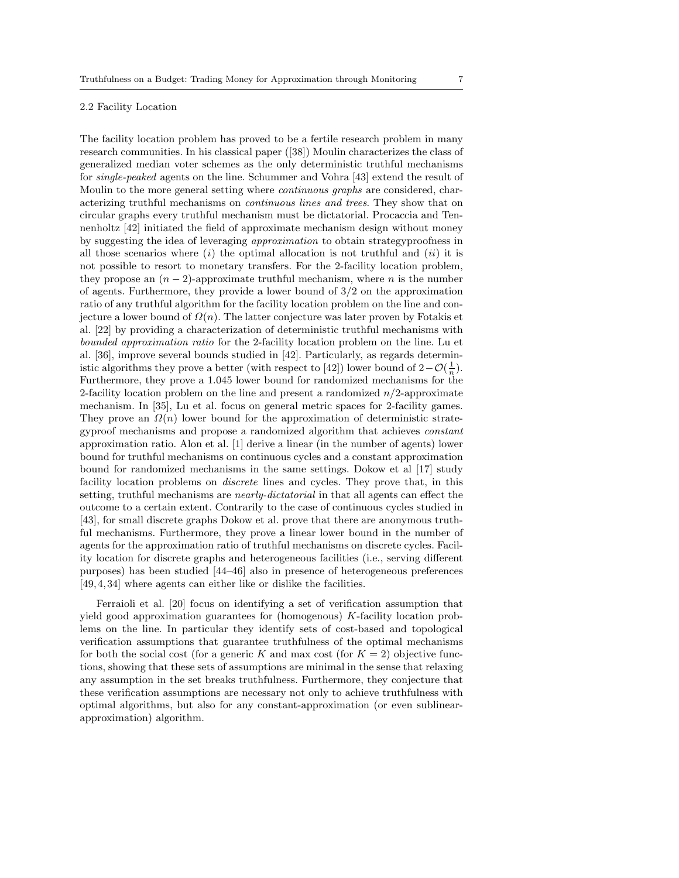# 2.2 Facility Location

The facility location problem has proved to be a fertile research problem in many research communities. In his classical paper ([38]) Moulin characterizes the class of generalized median voter schemes as the only deterministic truthful mechanisms for single-peaked agents on the line. Schummer and Vohra [43] extend the result of Moulin to the more general setting where continuous graphs are considered, characterizing truthful mechanisms on continuous lines and trees. They show that on circular graphs every truthful mechanism must be dictatorial. Procaccia and Tennenholtz [42] initiated the field of approximate mechanism design without money by suggesting the idea of leveraging approximation to obtain strategyproofness in all those scenarios where  $(i)$  the optimal allocation is not truthful and  $(ii)$  it is not possible to resort to monetary transfers. For the 2-facility location problem, they propose an  $(n-2)$ -approximate truthful mechanism, where *n* is the number of agents. Furthermore, they provide a lower bound of  $3/2$  on the approximation ratio of any truthful algorithm for the facility location problem on the line and conjecture a lower bound of  $\Omega(n)$ . The latter conjecture was later proven by Fotakis et al. [22] by providing a characterization of deterministic truthful mechanisms with bounded approximation ratio for the 2-facility location problem on the line. Lu et al. [36], improve several bounds studied in [42]. Particularly, as regards deterministic algorithms they prove a better (with respect to [42]) lower bound of  $2-\mathcal{O}(\frac{1}{n})$ . Furthermore, they prove a 1.045 lower bound for randomized mechanisms for the 2-facility location problem on the line and present a randomized  $n/2$ -approximate mechanism. In [35], Lu et al. focus on general metric spaces for 2-facility games. They prove an  $\Omega(n)$  lower bound for the approximation of deterministic strategyproof mechanisms and propose a randomized algorithm that achieves constant approximation ratio. Alon et al. [1] derive a linear (in the number of agents) lower bound for truthful mechanisms on continuous cycles and a constant approximation bound for randomized mechanisms in the same settings. Dokow et al [17] study facility location problems on *discrete* lines and cycles. They prove that, in this setting, truthful mechanisms are nearly-dictatorial in that all agents can effect the outcome to a certain extent. Contrarily to the case of continuous cycles studied in [43], for small discrete graphs Dokow et al. prove that there are anonymous truthful mechanisms. Furthermore, they prove a linear lower bound in the number of agents for the approximation ratio of truthful mechanisms on discrete cycles. Facility location for discrete graphs and heterogeneous facilities (i.e., serving different purposes) has been studied [44–46] also in presence of heterogeneous preferences [49, 4, 34] where agents can either like or dislike the facilities.

Ferraioli et al. [20] focus on identifying a set of verification assumption that yield good approximation guarantees for (homogenous) K-facility location problems on the line. In particular they identify sets of cost-based and topological verification assumptions that guarantee truthfulness of the optimal mechanisms for both the social cost (for a generic K and max cost (for  $K = 2$ ) objective functions, showing that these sets of assumptions are minimal in the sense that relaxing any assumption in the set breaks truthfulness. Furthermore, they conjecture that these verification assumptions are necessary not only to achieve truthfulness with optimal algorithms, but also for any constant-approximation (or even sublinearapproximation) algorithm.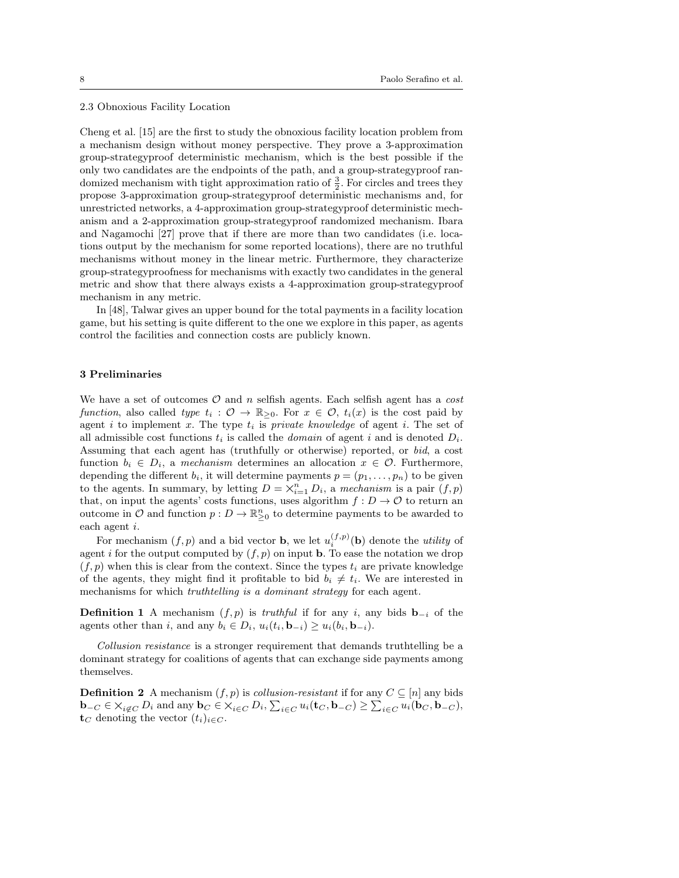#### 2.3 Obnoxious Facility Location

Cheng et al. [15] are the first to study the obnoxious facility location problem from a mechanism design without money perspective. They prove a 3-approximation group-strategyproof deterministic mechanism, which is the best possible if the only two candidates are the endpoints of the path, and a group-strategyproof randomized mechanism with tight approximation ratio of  $\frac{3}{2}$ . For circles and trees they propose 3-approximation group-strategyproof deterministic mechanisms and, for unrestricted networks, a 4-approximation group-strategyproof deterministic mechanism and a 2-approximation group-strategyproof randomized mechanism. Ibara and Nagamochi [27] prove that if there are more than two candidates (i.e. locations output by the mechanism for some reported locations), there are no truthful mechanisms without money in the linear metric. Furthermore, they characterize group-strategyproofness for mechanisms with exactly two candidates in the general metric and show that there always exists a 4-approximation group-strategyproof mechanism in any metric.

In [48], Talwar gives an upper bound for the total payments in a facility location game, but his setting is quite different to the one we explore in this paper, as agents control the facilities and connection costs are publicly known.

#### 3 Preliminaries

We have a set of outcomes  $\mathcal O$  and n selfish agents. Each selfish agent has a cost function, also called type  $t_i : \mathcal{O} \to \mathbb{R}_{>0}$ . For  $x \in \mathcal{O}$ ,  $t_i(x)$  is the cost paid by agent i to implement x. The type  $t_i$  is *private knowledge* of agent i. The set of all admissible cost functions  $t_i$  is called the *domain* of agent i and is denoted  $D_i$ . Assuming that each agent has (truthfully or otherwise) reported, or bid, a cost function  $b_i \in D_i$ , a mechanism determines an allocation  $x \in \mathcal{O}$ . Furthermore, depending the different  $b_i$ , it will determine payments  $p = (p_1, \ldots, p_n)$  to be given to the agents. In summary, by letting  $D = \times_{i=1}^{n} D_i$ , a mechanism is a pair  $(f, p)$ that, on input the agents' costs functions, uses algorithm  $f: D \to \mathcal{O}$  to return an outcome in  $\mathcal O$  and function  $p: D \to \mathbb{R}^n_{\geq 0}$  to determine payments to be awarded to each agent i.

For mechanism  $(f, p)$  and a bid vector **b**, we let  $u_i^{(f,p)}$  (**b**) denote the *utility* of agent i for the output computed by  $(f, p)$  on input **b**. To ease the notation we drop  $(f, p)$  when this is clear from the context. Since the types  $t_i$  are private knowledge of the agents, they might find it profitable to bid  $b_i \neq t_i$ . We are interested in mechanisms for which truthtelling is a dominant strategy for each agent.

**Definition 1** A mechanism  $(f, p)$  is *truthful* if for any i, any bids  $\mathbf{b}_{-i}$  of the agents other than i, and any  $b_i \in D_i$ ,  $u_i(t_i, \mathbf{b}_{-i}) \geq u_i(b_i, \mathbf{b}_{-i}).$ 

Collusion resistance is a stronger requirement that demands truthtelling be a dominant strategy for coalitions of agents that can exchange side payments among themselves.

**Definition 2** A mechanism  $(f, p)$  is *collusion-resistant* if for any  $C \subseteq [n]$  any bids  $\mathbf{b}_{-C} \in \times_{i \notin C} D_i$  and any  $\mathbf{b}_C \in \times_{i \in C} D_i$ ,  $\sum_{i \in C} u_i(\mathbf{t}_C, \mathbf{b}_{-C}) \geq \sum_{i \in C} u_i(\mathbf{b}_C, \mathbf{b}_{-C})$ ,  $\mathbf{t}_C$  denoting the vector  $(t_i)_{i \in C}$ .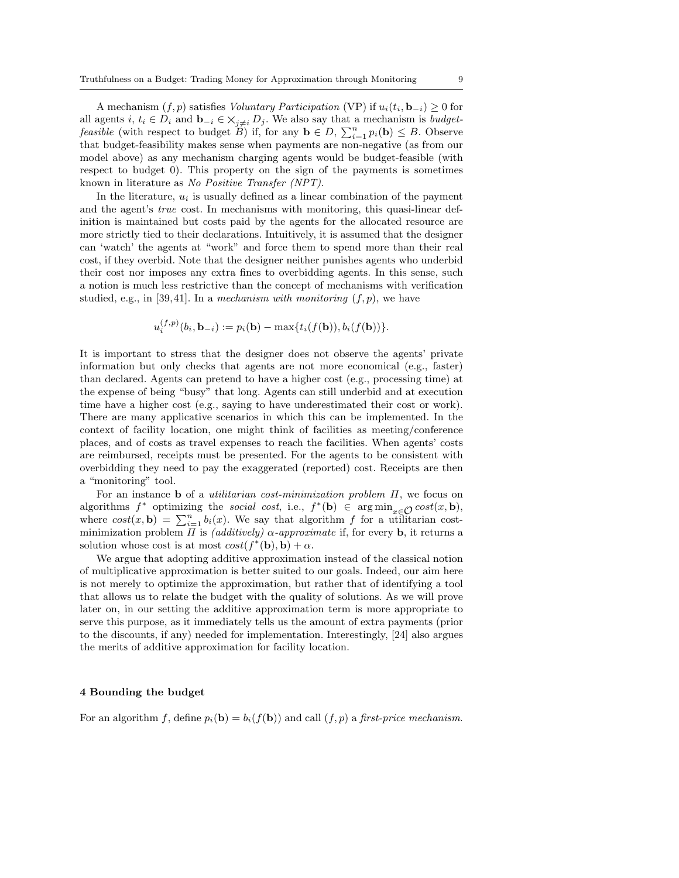A mechanism  $(f, p)$  satisfies Voluntary Participation (VP) if  $u_i(t_i, \mathbf{b}_{-i}) \geq 0$  for all agents i,  $t_i \in D_i$  and  $\mathbf{b}_{-i} \in \mathsf{X}_{j \neq i}$   $D_j$ . We also say that a mechanism is *budgetfeasible* (with respect to budget  $\overleftrightarrow{B}$ ) if, for any  $\mathbf{b} \in D$ ,  $\sum_{i=1}^{n} p_i(\mathbf{b}) \leq B$ . Observe that budget-feasibility makes sense when payments are non-negative (as from our model above) as any mechanism charging agents would be budget-feasible (with respect to budget 0). This property on the sign of the payments is sometimes known in literature as No Positive Transfer (NPT).

In the literature,  $u_i$  is usually defined as a linear combination of the payment and the agent's true cost. In mechanisms with monitoring, this quasi-linear definition is maintained but costs paid by the agents for the allocated resource are more strictly tied to their declarations. Intuitively, it is assumed that the designer can 'watch' the agents at "work" and force them to spend more than their real cost, if they overbid. Note that the designer neither punishes agents who underbid their cost nor imposes any extra fines to overbidding agents. In this sense, such a notion is much less restrictive than the concept of mechanisms with verification studied, e.g., in [39,41]. In a mechanism with monitoring  $(f, p)$ , we have

$$
u_i^{(f,p)}(b_i, \mathbf{b}_{-i}) := p_i(\mathbf{b}) - \max\{t_i(f(\mathbf{b})), b_i(f(\mathbf{b}))\}.
$$

It is important to stress that the designer does not observe the agents' private information but only checks that agents are not more economical (e.g., faster) than declared. Agents can pretend to have a higher cost (e.g., processing time) at the expense of being "busy" that long. Agents can still underbid and at execution time have a higher cost (e.g., saying to have underestimated their cost or work). There are many applicative scenarios in which this can be implemented. In the context of facility location, one might think of facilities as meeting/conference places, and of costs as travel expenses to reach the facilities. When agents' costs are reimbursed, receipts must be presented. For the agents to be consistent with overbidding they need to pay the exaggerated (reported) cost. Receipts are then a "monitoring" tool.

For an instance **b** of a *utilitarian cost-minimization problem*  $\Pi$ , we focus on algorithms  $f^*$  optimizing the social cost, i.e.,  $f^*(\mathbf{b}) \in \arg \min_{x \in \mathcal{O}} cost(x, \mathbf{b}),$ where  $cost(x, b) = \sum_{i=1}^{n} b_i(x)$ . We say that algorithm f for a utilitarian costminimization problem  $\Pi$  is *(additively)*  $\alpha$ -*approximate* if, for every **b**, it returns a solution whose cost is at most  $cost(f^*(\mathbf{b}), \mathbf{b}) + \alpha$ .

We argue that adopting additive approximation instead of the classical notion of multiplicative approximation is better suited to our goals. Indeed, our aim here is not merely to optimize the approximation, but rather that of identifying a tool that allows us to relate the budget with the quality of solutions. As we will prove later on, in our setting the additive approximation term is more appropriate to serve this purpose, as it immediately tells us the amount of extra payments (prior to the discounts, if any) needed for implementation. Interestingly, [24] also argues the merits of additive approximation for facility location.

#### 4 Bounding the budget

For an algorithm f, define  $p_i(\mathbf{b}) = b_i(f(\mathbf{b}))$  and call  $(f, p)$  a first-price mechanism.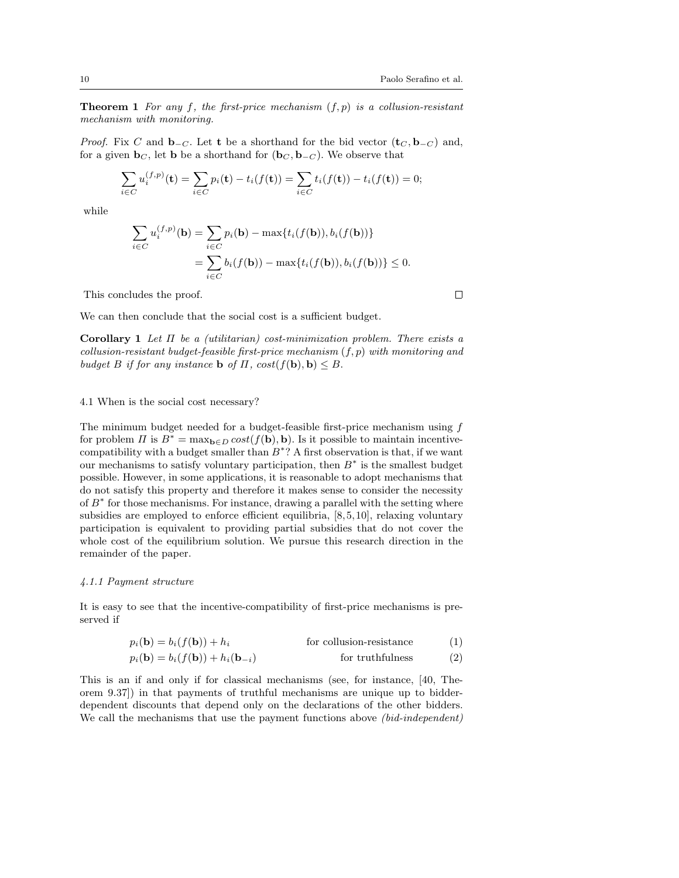**Theorem 1** For any f, the first-price mechanism  $(f, p)$  is a collusion-resistant mechanism with monitoring.

*Proof.* Fix C and  $\mathbf{b}_{-C}$ . Let t be a shorthand for the bid vector  $(\mathbf{t}_{C}, \mathbf{b}_{-C})$  and, for a given  $\mathbf{b}_C$ , let **b** be a shorthand for  $(\mathbf{b}_C, \mathbf{b}_{-C})$ . We observe that

$$
\sum_{i \in C} u_i^{(f,p)}(\mathbf{t}) = \sum_{i \in C} p_i(\mathbf{t}) - t_i(f(\mathbf{t})) = \sum_{i \in C} t_i(f(\mathbf{t})) - t_i(f(\mathbf{t})) = 0;
$$

while

$$
\sum_{i \in C} u_i^{(f,p)}(\mathbf{b}) = \sum_{i \in C} p_i(\mathbf{b}) - \max\{t_i(f(\mathbf{b})), b_i(f(\mathbf{b}))\}
$$

$$
= \sum_{i \in C} b_i(f(\mathbf{b})) - \max\{t_i(f(\mathbf{b})), b_i(f(\mathbf{b}))\} \le 0.
$$

This concludes the proof.

We can then conclude that the social cost is a sufficient budget.

Corollary 1 Let  $\Pi$  be a (utilitarian) cost-minimization problem. There exists a collusion-resistant budget-feasible first-price mechanism  $(f, p)$  with monitoring and budget B if for any instance **b** of  $\Pi$ ,  $cost(f(\mathbf{b}), \mathbf{b}) \leq B$ .

# 4.1 When is the social cost necessary?

The minimum budget needed for a budget-feasible first-price mechanism using  $f$ for problem  $\Pi$  is  $B^* = \max_{\mathbf{b} \in D} cost(f(\mathbf{b}), \mathbf{b})$ . Is it possible to maintain incentivecompatibility with a budget smaller than  $B^*$ ? A first observation is that, if we want our mechanisms to satisfy voluntary participation, then  $B^*$  is the smallest budget possible. However, in some applications, it is reasonable to adopt mechanisms that do not satisfy this property and therefore it makes sense to consider the necessity of  $B^*$  for those mechanisms. For instance, drawing a parallel with the setting where subsidies are employed to enforce efficient equilibria, [8, 5, 10], relaxing voluntary participation is equivalent to providing partial subsidies that do not cover the whole cost of the equilibrium solution. We pursue this research direction in the remainder of the paper.

#### 4.1.1 Payment structure

It is easy to see that the incentive-compatibility of first-price mechanisms is preserved if

$$
p_i(\mathbf{b}) = b_i(f(\mathbf{b})) + h_i \qquad \text{for collision-resistance} \tag{1}
$$

$$
p_i(\mathbf{b}) = b_i(f(\mathbf{b})) + h_i(\mathbf{b}_{-i})
$$
 for truthfulness (2)

This is an if and only if for classical mechanisms (see, for instance, [40, Theorem 9.37]) in that payments of truthful mechanisms are unique up to bidderdependent discounts that depend only on the declarations of the other bidders. We call the mechanisms that use the payment functions above (bid-independent)

 $\Box$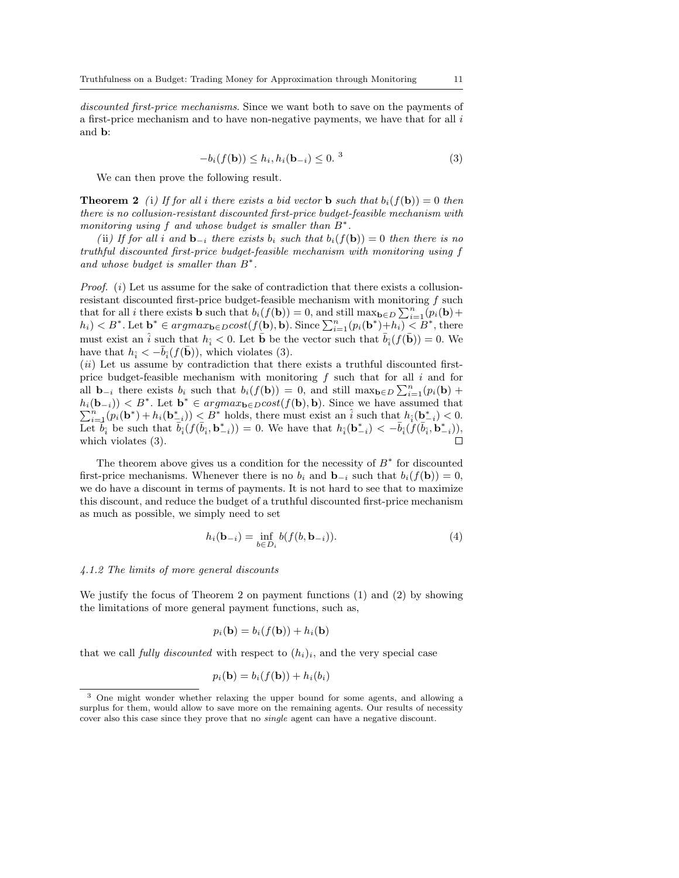discounted first-price mechanisms. Since we want both to save on the payments of a first-price mechanism and to have non-negative payments, we have that for all  $i$ and b:

$$
-b_i(f(\mathbf{b})) \le h_i, h_i(\mathbf{b}_{-i}) \le 0.
$$
<sup>3</sup> (3)

We can then prove the following result.

**Theorem 2** (i) If for all i there exists a bid vector **b** such that  $b_i(f(\mathbf{b})) = 0$  then there is no collusion-resistant discounted first-price budget-feasible mechanism with monitoring using  $f$  and whose budget is smaller than  $B^*$ .

(ii) If for all i and  $\mathbf{b}_{-i}$  there exists  $b_i$  such that  $b_i(f(\mathbf{b})) = 0$  then there is no truthful discounted first-price budget-feasible mechanism with monitoring using f and whose budget is smaller than  $B^*$ .

*Proof.*  $(i)$  Let us assume for the sake of contradiction that there exists a collusionresistant discounted first-price budget-feasible mechanism with monitoring f such that for all *i* there exists **b** such that  $b_i(f(\mathbf{b})) = 0$ , and still  $\max_{\mathbf{b} \in D} \sum_{i=1}^n (p_i(\mathbf{b}) +$  $h_i$ )  $\lt B^*$ . Let  $\mathbf{b}^* \in argmax_{\mathbf{b} \in D} cost(f(\mathbf{b}), \mathbf{b})$ . Since  $\sum_{i=1}^n (p_i(\mathbf{b}^*) + h_i) \leq B^*$ , there must exist an  $\hat{i}$  such that  $h_{\hat{i}} < 0$ . Let  $\bar{b}$  be the vector such that  $\bar{b}_{\hat{i}}(f(\bar{b})) = 0$ . We have that  $h_{\hat{i}} < -\bar{b}_{\hat{i}}(f(\bar{\mathbf{b}}))$ , which violates (3).

(ii) Let us assume by contradiction that there exists a truthful discounted firstprice budget-feasible mechanism with monitoring  $f$  such that for all  $i$  and for all **b**<sub>-i</sub> there exists  $b_i$  such that  $b_i(f(\mathbf{b})) = 0$ , and still max $\mathbf{b}_{\in D} \sum_{i=1}^n (p_i(\mathbf{b}) + p_i(\mathbf{b}))$  $h_i(\mathbf{b}_{-i}) \leq B^*$ . Let  $\mathbf{b}^* \in argmax_{\mathbf{b} \in D} cost(f(\mathbf{b}), \mathbf{b})$ . Since we have assumed that  $\sum_{i=1}^n (p_i(\mathbf{b}^*) + h_i(\mathbf{b}_{-i}^*)) \leq B^*$  holds, there must exist an  $\hat{i}$  such that  $h_{\hat{i}}(\mathbf{b}_{-i}^*) < 0$ . Let  $\overline{b}_i$  be such that  $\overline{b}_i(f(\overline{b}_i, \mathbf{b}_{-i}^*)) = 0$ . We have that  $h_i(\mathbf{b}_{-i}^*) < -\overline{b}_i(f(\overline{b}_i, \mathbf{b}_{-i}^*))$ , which violates (3).  $\Box$ 

The theorem above gives us a condition for the necessity of  $B^*$  for discounted first-price mechanisms. Whenever there is no  $b_i$  and  $\mathbf{b}_{-i}$  such that  $b_i(f(\mathbf{b})) = 0$ , we do have a discount in terms of payments. It is not hard to see that to maximize this discount, and reduce the budget of a truthful discounted first-price mechanism as much as possible, we simply need to set

$$
h_i(\mathbf{b}_{-i}) = \inf_{b \in D_i} b(f(b, \mathbf{b}_{-i})).
$$
\n(4)

#### 4.1.2 The limits of more general discounts

We justify the focus of Theorem 2 on payment functions (1) and (2) by showing the limitations of more general payment functions, such as,

$$
p_i(\mathbf{b}) = b_i(f(\mathbf{b})) + h_i(\mathbf{b})
$$

that we call *fully discounted* with respect to  $(h_i)_i$ , and the very special case

$$
p_i(\mathbf{b}) = b_i(f(\mathbf{b})) + h_i(b_i)
$$

<sup>3</sup> One might wonder whether relaxing the upper bound for some agents, and allowing a surplus for them, would allow to save more on the remaining agents. Our results of necessity cover also this case since they prove that no single agent can have a negative discount.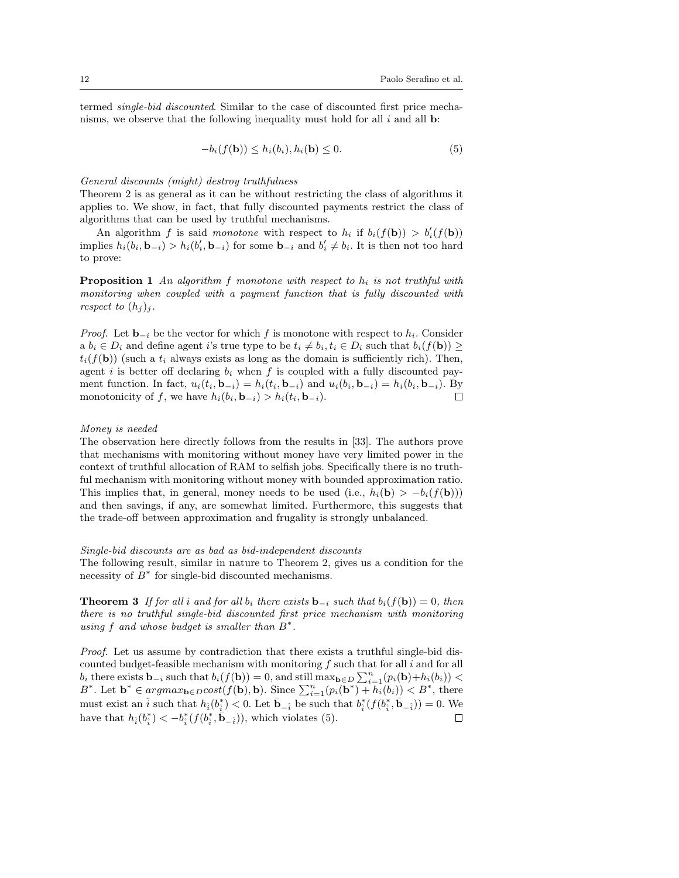termed single-bid discounted. Similar to the case of discounted first price mechanisms, we observe that the following inequality must hold for all  $i$  and all  $\mathbf b$ :

$$
-b_i(f(\mathbf{b})) \le h_i(b_i), h_i(\mathbf{b}) \le 0.
$$
\n<sup>(5)</sup>

#### General discounts (might) destroy truthfulness

Theorem 2 is as general as it can be without restricting the class of algorithms it applies to. We show, in fact, that fully discounted payments restrict the class of algorithms that can be used by truthful mechanisms.

An algorithm f is said monotone with respect to  $h_i$  if  $b_i(f(\mathbf{b})) > b'_i(f(\mathbf{b}))$ implies  $h_i(b_i, \mathbf{b}_{-i}) > h_i(b'_i, \mathbf{b}_{-i})$  for some  $\mathbf{b}_{-i}$  and  $b'_i \neq b_i$ . It is then not too hard to prove:

**Proposition 1** An algorithm f monotone with respect to  $h_i$  is not truthful with monitoring when coupled with a payment function that is fully discounted with respect to  $(h_i)_i$ .

*Proof.* Let  $\mathbf{b}_{-i}$  be the vector for which f is monotone with respect to  $h_i$ . Consider a  $b_i \in D_i$  and define agent i's true type to be  $t_i \neq b_i, t_i \in D_i$  such that  $b_i(f(\mathbf{b})) \geq$  $t_i(f(\mathbf{b}))$  (such a  $t_i$  always exists as long as the domain is sufficiently rich). Then, agent i is better off declaring  $b_i$  when f is coupled with a fully discounted payment function. In fact,  $u_i(t_i, \mathbf{b}_{-i}) = h_i(t_i, \mathbf{b}_{-i})$  and  $u_i(b_i, \mathbf{b}_{-i}) = h_i(b_i, \mathbf{b}_{-i})$ . By monotonicity of f, we have  $h_i(b_i, \mathbf{b}_{-i}) > h_i(t_i, \mathbf{b}_{-i}).$  $\Box$ 

#### Money is needed

The observation here directly follows from the results in [33]. The authors prove that mechanisms with monitoring without money have very limited power in the context of truthful allocation of RAM to selfish jobs. Specifically there is no truthful mechanism with monitoring without money with bounded approximation ratio. This implies that, in general, money needs to be used (i.e.,  $h_i(\mathbf{b}) > -b_i(f(\mathbf{b})))$ and then savings, if any, are somewhat limited. Furthermore, this suggests that the trade-off between approximation and frugality is strongly unbalanced.

Single-bid discounts are as bad as bid-independent discounts

The following result, similar in nature to Theorem 2, gives us a condition for the necessity of  $B^*$  for single-bid discounted mechanisms.

**Theorem 3** If for all i and for all  $b_i$  there exists  $\mathbf{b}_{-i}$  such that  $b_i(f(\mathbf{b})) = 0$ , then there is no truthful single-bid discounted first price mechanism with monitoring using  $f$  and whose budget is smaller than  $B^*$ .

Proof. Let us assume by contradiction that there exists a truthful single-bid discounted budget-feasible mechanism with monitoring  $f$  such that for all  $i$  and for all  $b_i$  there exists  $\mathbf{b}_{-i}$  such that  $b_i(f(\mathbf{b})) = 0$ , and still  $\max_{\mathbf{b} \in D} \sum_{i=1}^n (p_i(\mathbf{b}) + h_i(b_i)) <$ B<sup>\*</sup>. Let  $\mathbf{b}^* \in argmax_{\mathbf{b}\in D}cost(f(\mathbf{b}), \mathbf{b})$ . Since  $\sum_{i=1}^n (p_i(\mathbf{b}^*) + h_i(b_i)) < B^*$ , there must exist an  $\hat{i}$  such that  $h_{\hat{i}}(b_{\hat{i}}^*) < 0$ . Let  $\bar{b}_{-\hat{i}}$  be such that  $b_{\hat{i}}^*(f(b_{\hat{i}}^*, \bar{b}_{-\hat{i}})) = 0$ . We have that  $h_{\hat{i}}(b_{\hat{i}}^*) < -b_{\hat{i}}^*(f(b_{\hat{i}}^*, \bar{b}_{\hat{-\hat{i}}}))$ , which violates (5).  $\Box$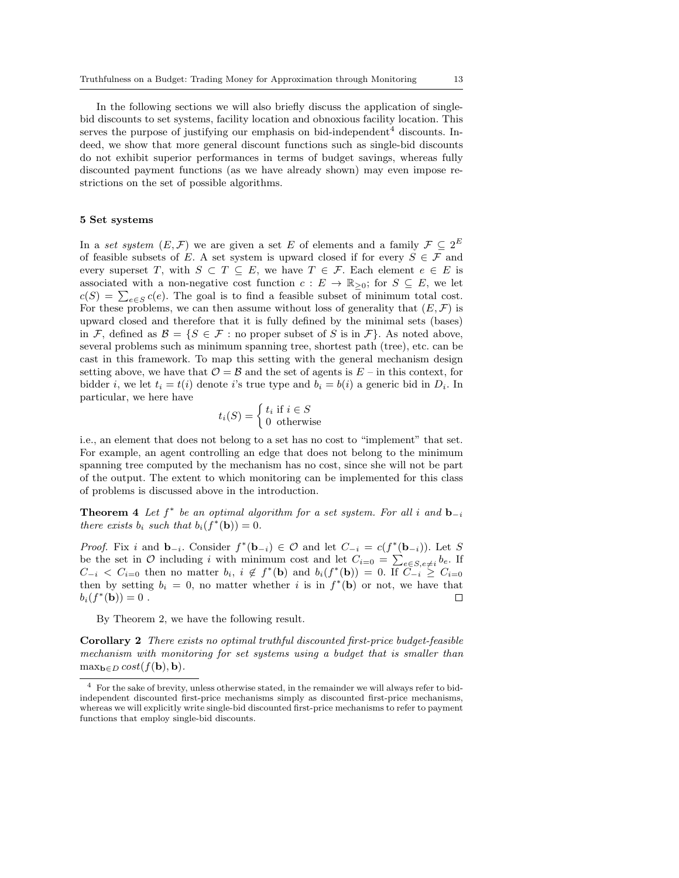In the following sections we will also briefly discuss the application of singlebid discounts to set systems, facility location and obnoxious facility location. This serves the purpose of justifying our emphasis on bid-independent<sup>4</sup> discounts. Indeed, we show that more general discount functions such as single-bid discounts do not exhibit superior performances in terms of budget savings, whereas fully discounted payment functions (as we have already shown) may even impose restrictions on the set of possible algorithms.

# 5 Set systems

In a set system  $(E, \mathcal{F})$  we are given a set E of elements and a family  $\mathcal{F} \subseteq 2^E$ of feasible subsets of E. A set system is upward closed if for every  $S \in \mathcal{F}$  and every superset T, with  $S \subset T \subseteq E$ , we have  $T \in \mathcal{F}$ . Each element  $e \in E$  is associated with a non-negative cost function  $c: E \to \mathbb{R}_{\geq 0}$ ; for  $S \subseteq E$ , we let  $c(S) = \sum_{e \in S} c(e)$ . The goal is to find a feasible subset of minimum total cost. For these problems, we can then assume without loss of generality that  $(E, \mathcal{F})$  is upward closed and therefore that it is fully defined by the minimal sets (bases) in F, defined as  $\mathcal{B} = \{S \in \mathcal{F} : \text{no proper subset of } S \text{ is in } \mathcal{F}\}\)$ . As noted above, several problems such as minimum spanning tree, shortest path (tree), etc. can be cast in this framework. To map this setting with the general mechanism design setting above, we have that  $\mathcal{O} = \mathcal{B}$  and the set of agents is  $E$  – in this context, for bidder *i*, we let  $t_i = t(i)$  denote *i*'s true type and  $b_i = b(i)$  a generic bid in  $D_i$ . In particular, we here have

$$
t_i(S) = \begin{cases} t_i \text{ if } i \in S \\ 0 \text{ otherwise} \end{cases}
$$

i.e., an element that does not belong to a set has no cost to "implement" that set. For example, an agent controlling an edge that does not belong to the minimum spanning tree computed by the mechanism has no cost, since she will not be part of the output. The extent to which monitoring can be implemented for this class of problems is discussed above in the introduction.

**Theorem 4** Let  $f^*$  be an optimal algorithm for a set system. For all i and  $\mathbf{b}_{-i}$ there exists  $b_i$  such that  $b_i(f^*(\mathbf{b})) = 0$ .

*Proof.* Fix i and  $\mathbf{b}_{-i}$ . Consider  $f^*(\mathbf{b}_{-i}) \in \mathcal{O}$  and let  $C_{-i} = c(f^*(\mathbf{b}_{-i}))$ . Let S be the set in  $\mathcal O$  including i with minimum cost and let  $C_{i=0} = \sum_{e \in S, e \neq i} b_e$ . If  $C_{-i}$  <  $C_{i=0}$  then no matter  $b_i$ ,  $i \notin f^*(\mathbf{b})$  and  $b_i(f^*(\mathbf{b})) = 0$ . If  $C_{-i} \geq C_{i=0}$ then by setting  $b_i = 0$ , no matter whether i is in  $f^*(b)$  or not, we have that  $b_i(f^*(\mathbf{b})) = 0$ .  $\Box$ 

By Theorem 2, we have the following result.

Corollary 2 There exists no optimal truthful discounted first-price budget-feasible mechanism with monitoring for set systems using a budget that is smaller than  $\max_{\mathbf{b}\in D} cost(f(\mathbf{b}), \mathbf{b}).$ 

<sup>4</sup> For the sake of brevity, unless otherwise stated, in the remainder we will always refer to bidindependent discounted first-price mechanisms simply as discounted first-price mechanisms, whereas we will explicitly write single-bid discounted first-price mechanisms to refer to payment functions that employ single-bid discounts.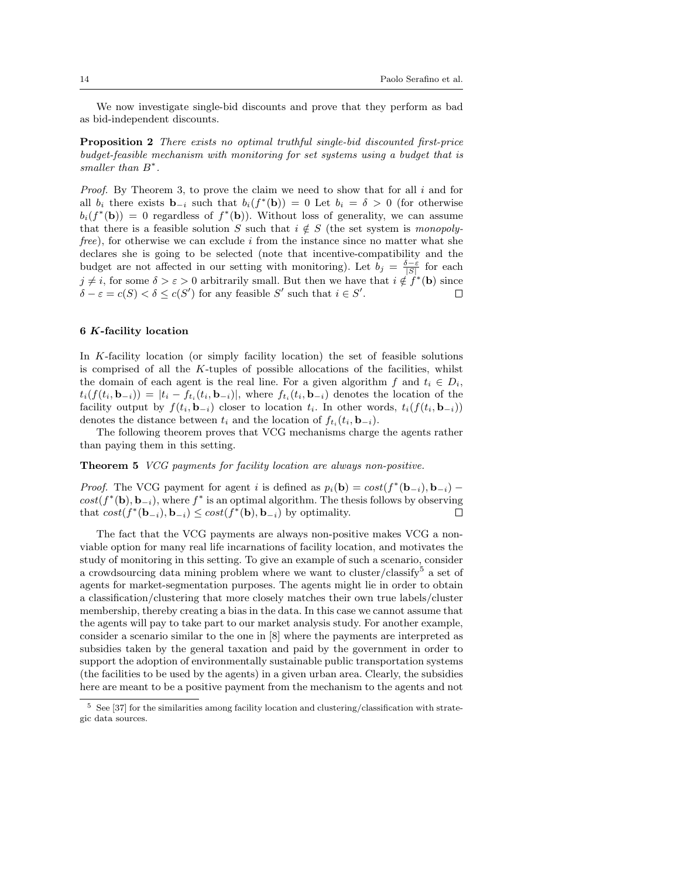We now investigate single-bid discounts and prove that they perform as bad as bid-independent discounts.

Proposition 2 There exists no optimal truthful single-bid discounted first-price budget-feasible mechanism with monitoring for set systems using a budget that is smaller than  $B^*$ .

*Proof.* By Theorem 3, to prove the claim we need to show that for all  $i$  and for all  $b_i$  there exists  $\mathbf{b}_{-i}$  such that  $b_i(f^*(\mathbf{b})) = 0$  Let  $b_i = \delta > 0$  (for otherwise  $b_i(f^*(\mathbf{b})) = 0$  regardless of  $f^*(\mathbf{b})$ . Without loss of generality, we can assume that there is a feasible solution S such that  $i \notin S$  (the set system is monopolyfree), for otherwise we can exclude i from the instance since no matter what she declares she is going to be selected (note that incentive-compatibility and the budget are not affected in our setting with monitoring). Let  $b_j = \frac{\delta - \varepsilon}{|S|}$  for each  $j \neq i$ , for some  $\delta > \varepsilon > 0$  arbitrarily small. But then we have that  $i \notin f^*(\mathbf{b})$  since  $\delta - \varepsilon = c(S) < \delta \leq c(S')$  for any feasible S' such that  $i \in S'$ . П

# 6 K-facility location

In K-facility location (or simply facility location) the set of feasible solutions is comprised of all the K-tuples of possible allocations of the facilities, whilst the domain of each agent is the real line. For a given algorithm f and  $t_i \in D_i$ ,  $t_i(f(t_i, \mathbf{b}_{-i})) = |t_i - f_{t_i}(t_i, \mathbf{b}_{-i})|$ , where  $f_{t_i}(t_i, \mathbf{b}_{-i})$  denotes the location of the facility output by  $f(t_i, \mathbf{b}_{-i})$  closer to location  $t_i$ . In other words,  $t_i(f(t_i, \mathbf{b}_{-i}))$ denotes the distance between  $t_i$  and the location of  $f_{t_i}(t_i, \mathbf{b}_{-i})$ .

The following theorem proves that VCG mechanisms charge the agents rather than paying them in this setting.

# Theorem 5 VCG payments for facility location are always non-positive.

*Proof.* The VCG payment for agent i is defined as  $p_i(\mathbf{b}) = cost(f^*(\mathbf{b}_{-i}), \mathbf{b}_{-i})$  –  $cost(f^*(\mathbf{b}), \mathbf{b}_{-i})$ , where  $f^*$  is an optimal algorithm. The thesis follows by observing that  $cost(f^*(\mathbf{b}_{-i}), \mathbf{b}_{-i}) \leq cost(f^*(\mathbf{b}), \mathbf{b}_{-i})$  by optimality.  $\Box$ 

The fact that the VCG payments are always non-positive makes VCG a nonviable option for many real life incarnations of facility location, and motivates the study of monitoring in this setting. To give an example of such a scenario, consider a crowdsourcing data mining problem where we want to cluster/classify<sup>5</sup> a set of agents for market-segmentation purposes. The agents might lie in order to obtain a classification/clustering that more closely matches their own true labels/cluster membership, thereby creating a bias in the data. In this case we cannot assume that the agents will pay to take part to our market analysis study. For another example, consider a scenario similar to the one in [8] where the payments are interpreted as subsidies taken by the general taxation and paid by the government in order to support the adoption of environmentally sustainable public transportation systems (the facilities to be used by the agents) in a given urban area. Clearly, the subsidies here are meant to be a positive payment from the mechanism to the agents and not

 $5$  See [37] for the similarities among facility location and clustering/classification with strategic data sources.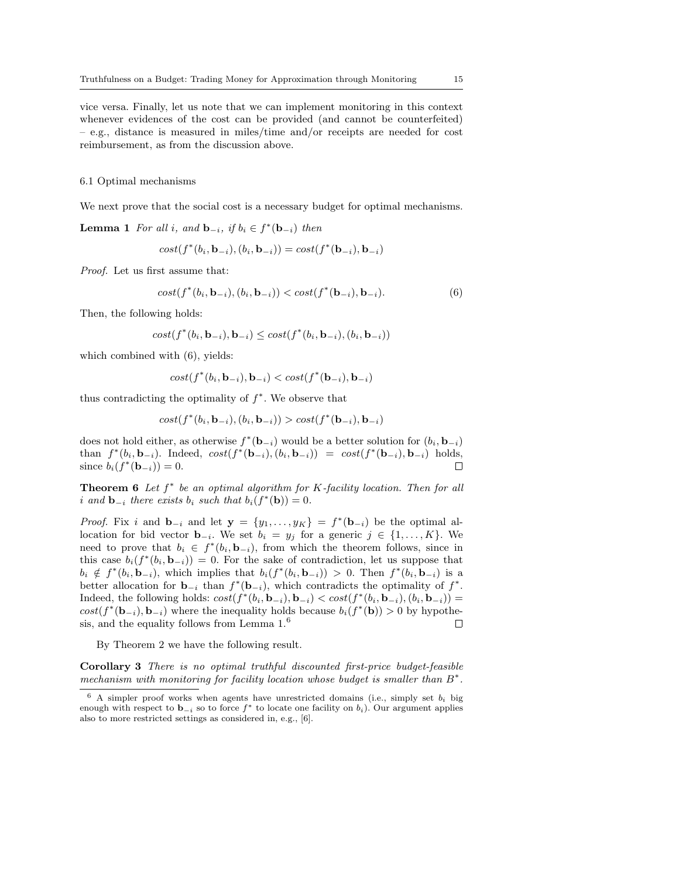vice versa. Finally, let us note that we can implement monitoring in this context whenever evidences of the cost can be provided (and cannot be counterfeited) – e.g., distance is measured in miles/time and/or receipts are needed for cost reimbursement, as from the discussion above.

# 6.1 Optimal mechanisms

We next prove that the social cost is a necessary budget for optimal mechanisms.

**Lemma 1** For all i, and  $\mathbf{b}_{-i}$ , if  $b_i \in f^*(\mathbf{b}_{-i})$  then

 $cost(f^*(b_i, \mathbf{b}_{-i}), (b_i, \mathbf{b}_{-i})) = cost(f^*(\mathbf{b}_{-i}), \mathbf{b}_{-i})$ 

Proof. Let us first assume that:

$$
cost(f^*(b_i, \mathbf{b}_{-i}), (b_i, \mathbf{b}_{-i})) < cost(f^*(\mathbf{b}_{-i}), \mathbf{b}_{-i}).
$$
\n(6)

Then, the following holds:

$$
cost(f^*(b_i, \mathbf{b}_{-i}), \mathbf{b}_{-i}) \leq cost(f^*(b_i, \mathbf{b}_{-i}), (b_i, \mathbf{b}_{-i}))
$$

which combined with  $(6)$ , yields:

$$
cost(f^*(b_i, \mathbf{b}_{-i}), \mathbf{b}_{-i}) < cost(f^*(\mathbf{b}_{-i}), \mathbf{b}_{-i})
$$

thus contradicting the optimality of  $f^*$ . We observe that

$$
cost(f^*(b_i, \mathbf{b}_{-i}), (b_i, \mathbf{b}_{-i})) > cost(f^*(\mathbf{b}_{-i}), \mathbf{b}_{-i})
$$

does not hold either, as otherwise  $f^*(\mathbf{b}_{-i})$  would be a better solution for  $(b_i, \mathbf{b}_{-i})$ than  $f^*(b_i, \mathbf{b}_{-i})$ . Indeed,  $cost(f^*(\mathbf{b}_{-i}), (b_i, \mathbf{b}_{-i})) = cost(f^*(\mathbf{b}_{-i}), \mathbf{b}_{-i})$  holds, since  $b_i(f^*(\mathbf{b}_{-i})) = 0$ .  $\Box$ 

**Theorem 6** Let  $f^*$  be an optimal algorithm for K-facility location. Then for all i and  $\mathbf{b}_{-i}$  there exists  $b_i$  such that  $b_i(f^*(\mathbf{b})) = 0$ .

*Proof.* Fix i and  $\mathbf{b}_{-i}$  and let  $\mathbf{y} = \{y_1, \ldots, y_K\} = f^*(\mathbf{b}_{-i})$  be the optimal allocation for bid vector  $\mathbf{b}_{-i}$ . We set  $b_i = y_j$  for a generic  $j \in \{1, ..., K\}$ . We need to prove that  $b_i \in f^*(b_i, \mathbf{b}_{-i})$ , from which the theorem follows, since in this case  $b_i(f^*(b_i, \mathbf{b}_{-i})) = 0$ . For the sake of contradiction, let us suppose that  $b_i \notin f^*(b_i, \mathbf{b}_{-i}),$  which implies that  $b_i(f^*(b_i, \mathbf{b}_{-i})) > 0$ . Then  $f^*(b_i, \mathbf{b}_{-i})$  is a better allocation for **b**<sub>-i</sub> than  $f^*(\mathbf{b}_{-i})$ , which contradicts the optimality of  $f^*$ . Indeed, the following holds:  $cost(f^*(b_i, \mathbf{b}_{-i}), \mathbf{b}_{-i}) < cost(f^*(b_i, \mathbf{b}_{-i}), (b_i, \mathbf{b}_{-i}))$  =  $cost(f^*(\mathbf{b}_{-i}), \mathbf{b}_{-i})$  where the inequality holds because  $b_i(f^*(\mathbf{b})) > 0$  by hypothesis, and the equality follows from Lemma 1.<sup>6</sup>  $\Box$ 

By Theorem 2 we have the following result.

Corollary 3 There is no optimal truthful discounted first-price budget-feasible mechanism with monitoring for facility location whose budget is smaller than  $B^*$ .

 $6$  A simpler proof works when agents have unrestricted domains (i.e., simply set  $b_i$  big enough with respect to  $\mathbf{b}_{-i}$  so to force  $f^*$  to locate one facility on  $b_i$ ). Our argument applies also to more restricted settings as considered in, e.g., [6].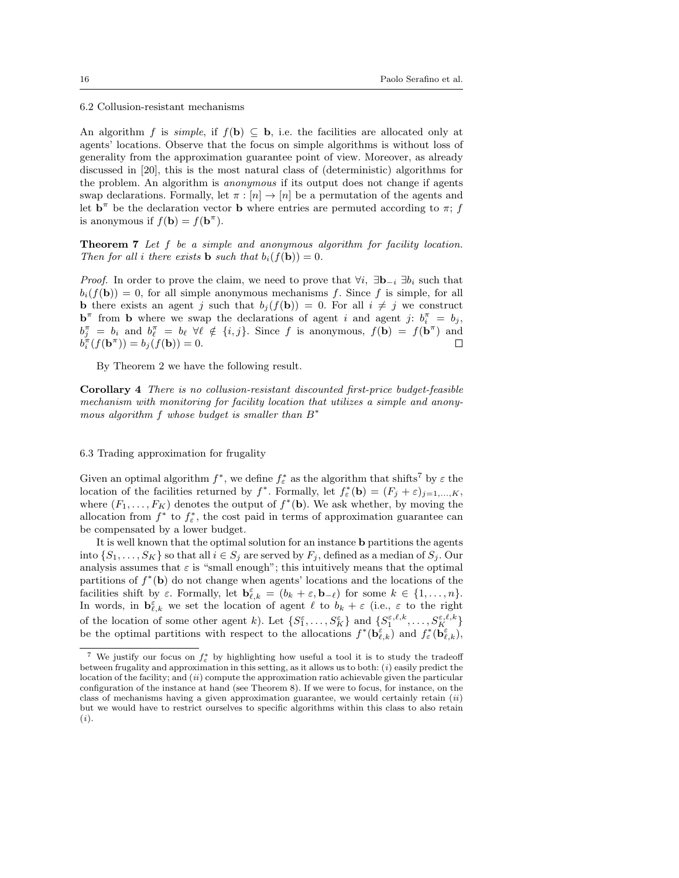6.2 Collusion-resistant mechanisms

An algorithm f is simple, if  $f(\mathbf{b}) \subseteq \mathbf{b}$ , i.e. the facilities are allocated only at agents' locations. Observe that the focus on simple algorithms is without loss of generality from the approximation guarantee point of view. Moreover, as already discussed in [20], this is the most natural class of (deterministic) algorithms for the problem. An algorithm is anonymous if its output does not change if agents swap declarations. Formally, let  $\pi : [n] \to [n]$  be a permutation of the agents and let  $\mathbf{b}^{\pi}$  be the declaration vector **b** where entries are permuted according to  $\pi$ ; f is anonymous if  $f(\mathbf{b}) = f(\mathbf{b}^{\pi}).$ 

Theorem 7 Let f be a simple and anonymous algorithm for facility location. Then for all i there exists **b** such that  $b_i(f(\mathbf{b})) = 0$ .

*Proof.* In order to prove the claim, we need to prove that  $\forall i$ ,  $\exists \mathbf{b}_{-i} \; \exists b_i$  such that  $b_i(f(\mathbf{b})) = 0$ , for all simple anonymous mechanisms f. Since f is simple, for all **b** there exists an agent j such that  $b_j(f(\mathbf{b})) = 0$ . For all  $i \neq j$  we construct  $\mathbf{b}^{\pi}$  from **b** where we swap the declarations of agent *i* and agent *j*:  $b_i^{\pi} = b_j$ ,  $b_j^{\pi} = b_i$  and  $b_{\ell}^{\pi} = b_{\ell} \ \forall \ell \notin \{i, j\}$ . Since f is anonymous,  $f(\mathbf{b}) = f(\mathbf{b}^{\pi})$  and  $b_i^{\pi}(f(\mathbf{b}^{\pi})) = b_j(f(\mathbf{b})) = 0.$  $\Box$ 

By Theorem 2 we have the following result.

Corollary 4 There is no collusion-resistant discounted first-price budget-feasible mechanism with monitoring for facility location that utilizes a simple and anonymous algorithm  $f$  whose budget is smaller than  $B^*$ 

#### 6.3 Trading approximation for frugality

Given an optimal algorithm  $f^*$ , we define  $f^*_{\varepsilon}$  as the algorithm that shifts<sup>7</sup> by  $\varepsilon$  the location of the facilities returned by  $f^*$ . Formally, let  $f_{\varepsilon}^*(\mathbf{b}) = (F_j + \varepsilon)_{j=1,\ldots,K}$ , where  $(F_1, \ldots, F_K)$  denotes the output of  $f^*(\mathbf{b})$ . We ask whether, by moving the allocation from  $f^*$  to  $f_{\varepsilon}^*$ , the cost paid in terms of approximation guarantee can be compensated by a lower budget.

It is well known that the optimal solution for an instance b partitions the agents into  $\{S_1, \ldots, S_K\}$  so that all  $i \in S_j$  are served by  $F_j$ , defined as a median of  $S_j$ . Our analysis assumes that  $\varepsilon$  is "small enough"; this intuitively means that the optimal partitions of  $f^*(\mathbf{b})$  do not change when agents' locations and the locations of the facilities shift by  $\varepsilon$ . Formally, let  $\mathbf{b}_{\ell,k}^{\varepsilon} = (b_k + \varepsilon, \mathbf{b}_{-\ell})$  for some  $k \in \{1, \ldots, n\}$ . In words, in  $\mathbf{b}_{\ell,k}^{\varepsilon}$  we set the location of agent  $\ell$  to  $b_k + \varepsilon$  (i.e.,  $\varepsilon$  to the right of the location of some other agent k). Let  $\{S_1^{\varepsilon}, \ldots, S_K^{\varepsilon}\}$  and  $\{S_1^{\varepsilon,\ell,k}, \ldots, S_K^{\varepsilon,\ell,k}\}$ be the optimal partitions with respect to the allocations  $f^*(\mathbf{b}_{\ell,k}^{\varepsilon})$  and  $f_{\varepsilon}^*(\mathbf{b}_{\ell,k}^{\varepsilon})$ ,

<sup>&</sup>lt;sup>7</sup> We justify our focus on  $f_{\varepsilon}^*$  by highlighting how useful a tool it is to study the tradeoff between frugality and approximation in this setting, as it allows us to both:  $(i)$  easily predict the location of the facility; and  $(ii)$  compute the approximation ratio achievable given the particular configuration of the instance at hand (see Theorem 8). If we were to focus, for instance, on the class of mechanisms having a given approximation guarantee, we would certainly retain  $(ii)$ but we would have to restrict ourselves to specific algorithms within this class to also retain (i).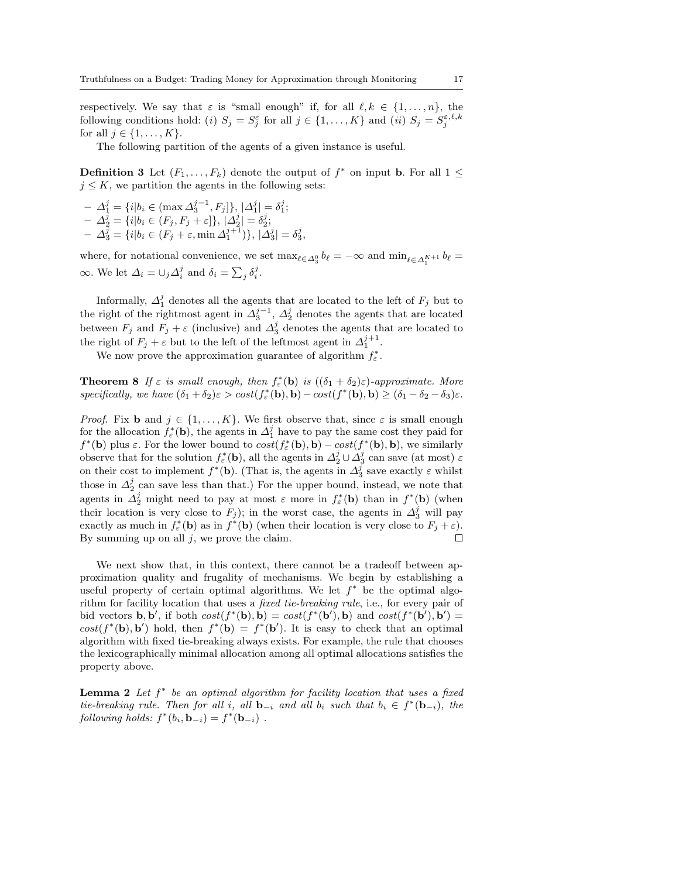respectively. We say that  $\varepsilon$  is "small enough" if, for all  $\ell, k \in \{1, \ldots, n\}$ , the following conditions hold: (i)  $S_j = S_j^{\varepsilon}$  for all  $j \in \{1, ..., K\}$  and (ii)  $S_j = S_j^{\varepsilon, \ell, k}$ for all  $j \in \{1, \ldots, K\}$ .

The following partition of the agents of a given instance is useful.

**Definition 3** Let  $(F_1, \ldots, F_k)$  denote the output of  $f^*$  on input **b**. For all  $1 \leq$  $j \leq K$ , we partition the agents in the following sets:

 $-$  Δ<sup>j</sup><sub>1</sub></sub> = {*i*|b<sub>i</sub> ∈ (max Δ<sup>j-1</sup>, F<sub>j</sub>]}, |Δ<sup>j</sup><sub>1</sub>| = δ<sup>j</sup><sub>1</sub>;  $-\Delta_2^j = \{i | b_i \in (F_j, F_j + \varepsilon] \}, |\Delta_2^j| = \delta_2^j;$  $-\Delta_3^j = \{i | b_i \in (F_j + \varepsilon, \min \Delta_1^{j+1})\}, |\Delta_3^j| = \delta_3^j,$ 

where, for notational convenience, we set  $\max_{\ell \in \Delta_3^0} b_\ell = -\infty$  and  $\min_{\ell \in \Delta_1^{K+1}} b_\ell =$  $\infty$ . We let  $\Delta_i = \bigcup_j \Delta_i^j$  and  $\delta_i = \sum_j \delta_i^j$ .

Informally,  $\Delta_1^j$  denotes all the agents that are located to the left of  $F_j$  but to the right of the rightmost agent in  $\Delta_3^{j-1}$ ,  $\Delta_2^j$  denotes the agents that are located between  $F_j$  and  $F_j + \varepsilon$  (inclusive) and  $\Delta_3^j$  denotes the agents that are located to the right of  $F_j + \varepsilon$  but to the left of the leftmost agent in  $\Delta_1^{j+1}$ .

We now prove the approximation guarantee of algorithm  $f_{\varepsilon}^*$ .

**Theorem 8** If  $\varepsilon$  is small enough, then  $f_{\varepsilon}^*(\mathbf{b})$  is  $((\delta_1 + \delta_2)\varepsilon)$ -approximate. More specifically, we have  $(\delta_1 + \delta_2)\varepsilon > cost(f^*_{\varepsilon}(\mathbf{b}), \mathbf{b}) - cost(f^*(\mathbf{b}), \mathbf{b}) \ge (\delta_1 - \delta_2 - \delta_3)\varepsilon$ .

*Proof.* Fix **b** and  $j \in \{1, ..., K\}$ . We first observe that, since  $\varepsilon$  is small enough for the allocation  $f_{\varepsilon}^*(\mathbf{b})$ , the agents in  $\Delta_1^j$  have to pay the same cost they paid for  $f^*(\mathbf{b})$  plus  $\varepsilon$ . For the lower bound to  $cost(f^*_\varepsilon(\mathbf{b}), \mathbf{b}) - cost(f^*(\mathbf{b}), \mathbf{b})$ , we similarly observe that for the solution  $f^*_\varepsilon(\mathbf{b})$ , all the agents in  $\Delta_2^j \cup \Delta_3^j$  can save (at most)  $\varepsilon$ on their cost to implement  $f^*(\mathbf{b})$ . (That is, the agents in  $\Delta_3^j$  save exactly  $\varepsilon$  whilst those in  $\Delta_2^j$  can save less than that.) For the upper bound, instead, we note that agents in  $\Delta_2^j$  might need to pay at most  $\varepsilon$  more in  $f^*_\varepsilon(\mathbf{b})$  than in  $f^*(\mathbf{b})$  (when their location is very close to  $F_j$ ); in the worst case, the agents in  $\Delta_3^j$  will pay exactly as much in  $f_{\varepsilon}^*(\mathbf{b})$  as in  $f^*(\mathbf{b})$  (when their location is very close to  $F_j + \varepsilon$ ). By summing up on all  $j$ , we prove the claim.  $\Box$ 

We next show that, in this context, there cannot be a tradeoff between approximation quality and frugality of mechanisms. We begin by establishing a useful property of certain optimal algorithms. We let  $f^*$  be the optimal algorithm for facility location that uses a fixed tie-breaking rule, i.e., for every pair of bid vectors **b**, **b'**, if both  $cost(f^*(\mathbf{b}), \mathbf{b}) = cost(f^*(\mathbf{b}'), \mathbf{b})$  and  $cost(f^*(\mathbf{b}'), \mathbf{b}') =$  $cost(f^*(\mathbf{b}), \mathbf{b}')$  hold, then  $f^*(\mathbf{b}) = f^*(\mathbf{b}')$ . It is easy to check that an optimal algorithm with fixed tie-breaking always exists. For example, the rule that chooses the lexicographically minimal allocation among all optimal allocations satisfies the property above.

**Lemma 2** Let  $f^*$  be an optimal algorithm for facility location that uses a fixed tie-breaking rule. Then for all i, all  $\mathbf{b}_{-i}$  and all  $b_i$  such that  $b_i \in f^*(\mathbf{b}_{-i})$ , the following holds:  $f^*(b_i, \mathbf{b}_{-i}) = f^*(\mathbf{b}_{-i})$ .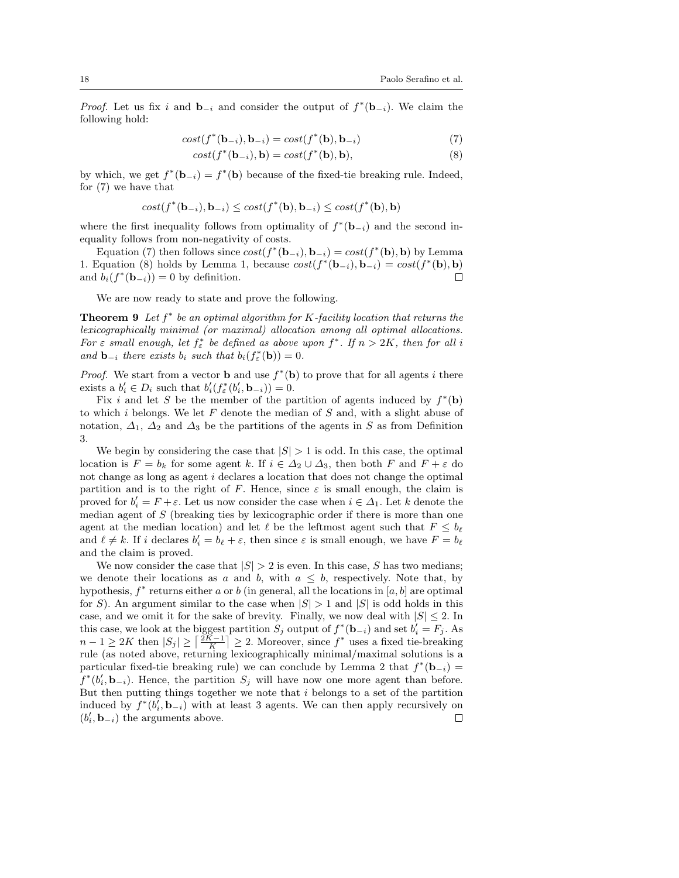*Proof.* Let us fix i and  $\mathbf{b}_{-i}$  and consider the output of  $f^*(\mathbf{b}_{-i})$ . We claim the following hold:

$$
cost(f^*(\mathbf{b}_{-i}), \mathbf{b}_{-i}) = cost(f^*(\mathbf{b}), \mathbf{b}_{-i})
$$
\n(7)

$$
cost(f^*(\mathbf{b}_{-i}), \mathbf{b}) = cost(f^*(\mathbf{b}), \mathbf{b}),
$$
\n(8)

by which, we get  $f^*(\mathbf{b}_{-i}) = f^*(\mathbf{b})$  because of the fixed-tie breaking rule. Indeed, for (7) we have that

$$
cost(f^*(\mathbf{b}_{-i}), \mathbf{b}_{-i}) \leq cost(f^*(\mathbf{b}), \mathbf{b}_{-i}) \leq cost(f^*(\mathbf{b}), \mathbf{b})
$$

where the first inequality follows from optimality of  $f^*(\mathbf{b}_{-i})$  and the second inequality follows from non-negativity of costs.

Equation (7) then follows since  $cost(f^*(\mathbf{b}_{-i}), \mathbf{b}_{-i}) = cost(f^*(\mathbf{b}), \mathbf{b})$  by Lemma 1. Equation (8) holds by Lemma 1, because  $cost(f^*(\mathbf{b}_{-i}), \mathbf{b}_{-i}) = cost(f^*(\mathbf{b}), \mathbf{b})$ and  $b_i(f^*(\mathbf{b}_{-i})) = 0$  by definition.  $\Box$ 

We are now ready to state and prove the following.

**Theorem 9** Let  $f^*$  be an optimal algorithm for K-facility location that returns the lexicographically minimal (or maximal) allocation among all optimal allocations. For  $\varepsilon$  small enough, let  $f_{\varepsilon}^*$  be defined as above upon  $f^*$ . If  $n > 2K$ , then for all i and  $\mathbf{b}_{-i}$  there exists  $b_i$  such that  $b_i(f^*_\varepsilon(\mathbf{b})) = 0$ .

*Proof.* We start from a vector **b** and use  $f^*(b)$  to prove that for all agents i there exists a  $b'_i \in D_i$  such that  $b'_i(f^*_\varepsilon(b'_i, \mathbf{b}_{-i})) = 0$ .

Fix i and let S be the member of the partition of agents induced by  $f^*(b)$ to which  $i$  belongs. We let  $F$  denote the median of  $S$  and, with a slight abuse of notation,  $\Delta_1$ ,  $\Delta_2$  and  $\Delta_3$  be the partitions of the agents in S as from Definition 3.

We begin by considering the case that  $|S| > 1$  is odd. In this case, the optimal location is  $F = b_k$  for some agent k. If  $i \in \Delta_2 \cup \Delta_3$ , then both F and  $F + \varepsilon$  do not change as long as agent i declares a location that does not change the optimal partition and is to the right of F. Hence, since  $\varepsilon$  is small enough, the claim is proved for  $b'_i = F + \varepsilon$ . Let us now consider the case when  $i \in \Delta_1$ . Let k denote the median agent of  $S$  (breaking ties by lexicographic order if there is more than one agent at the median location) and let  $\ell$  be the leftmost agent such that  $F \leq b_{\ell}$ and  $\ell \neq k$ . If i declares  $b'_i = b_\ell + \varepsilon$ , then since  $\varepsilon$  is small enough, we have  $F = b_\ell$ and the claim is proved.

We now consider the case that  $|S| > 2$  is even. In this case, S has two medians; we denote their locations as a and b, with  $a \leq b$ , respectively. Note that, by hypothesis,  $f^*$  returns either a or b (in general, all the locations in [a, b] are optimal for S). An argument similar to the case when  $|S| > 1$  and  $|S|$  is odd holds in this case, and we omit it for the sake of brevity. Finally, we now deal with  $|S| \leq 2$ . In this case, we look at the biggest partition  $S_j$  output of  $f^*(\mathbf{b}_{-i})$  and set  $b'_i = F_j$ . As  $n-1 \geq 2K$  then  $|S_j| \geq \left\lceil \frac{2K-1}{K} \right\rceil \geq 2$ . Moreover, since  $f^*$  uses a fixed tie-breaking rule (as noted above, returning lexicographically minimal/maximal solutions is a particular fixed-tie breaking rule) we can conclude by Lemma 2 that  $f^*(\mathbf{b}_{-i}) =$  $f^*(b'_i, \mathbf{b}_{-i})$ . Hence, the partition  $S_j$  will have now one more agent than before. But then putting things together we note that  $i$  belongs to a set of the partition induced by  $f^*(b_i, \mathbf{b}_{-i})$  with at least 3 agents. We can then apply recursively on  $(b'_i, \mathbf{b}_{-i})$  the arguments above.  $\Box$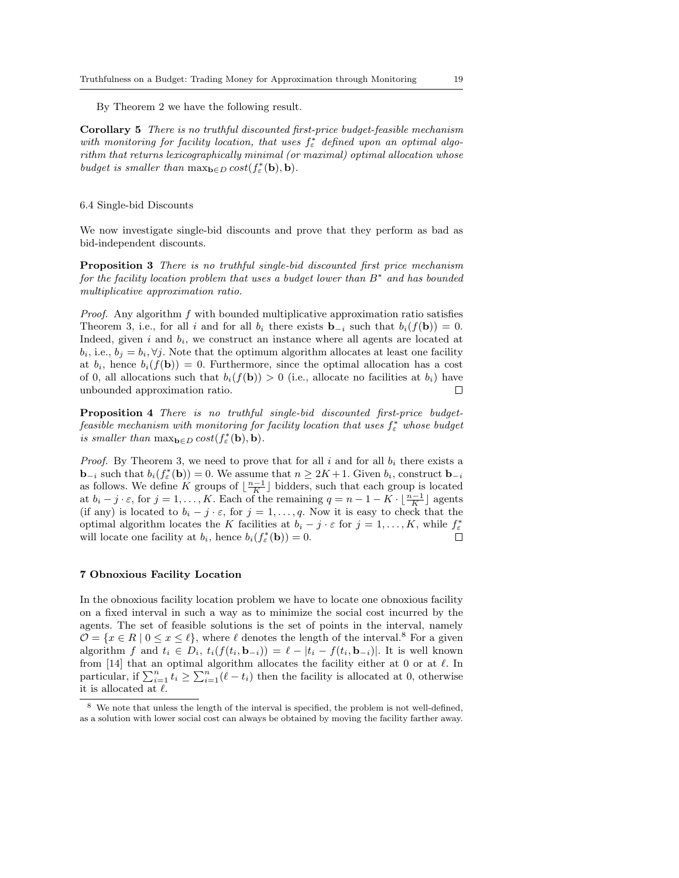By Theorem 2 we have the following result.

Corollary 5 There is no truthful discounted first-price budget-feasible mechanism with monitoring for facility location, that uses  $f_{\varepsilon}^*$  defined upon an optimal algorithm that returns lexicographically minimal (or maximal) optimal allocation whose budget is smaller than  $\max_{\mathbf{b}\in D} cost(f^*_{\varepsilon}(\mathbf{b}), \mathbf{b}).$ 

#### 6.4 Single-bid Discounts

We now investigate single-bid discounts and prove that they perform as bad as bid-independent discounts.

Proposition 3 There is no truthful single-bid discounted first price mechanism for the facility location problem that uses a budget lower than  $B^*$  and has bounded multiplicative approximation ratio.

Proof. Any algorithm f with bounded multiplicative approximation ratio satisfies Theorem 3, i.e., for all i and for all  $b_i$  there exists **b**<sub>-i</sub> such that  $b_i(f(\mathbf{b})) = 0$ . Indeed, given  $i$  and  $b_i$ , we construct an instance where all agents are located at  $b_i$ , i.e.,  $b_j = b_i$ ,  $\forall j$ . Note that the optimum algorithm allocates at least one facility at  $b_i$ , hence  $b_i(f(\mathbf{b})) = 0$ . Furthermore, since the optimal allocation has a cost of 0, all allocations such that  $b_i(f(\mathbf{b})) > 0$  (i.e., allocate no facilities at  $b_i$ ) have unbounded approximation ratio. П

Proposition 4 There is no truthful single-bid discounted first-price budgetfeasible mechanism with monitoring for facility location that uses  $f_{\varepsilon}^*$  whose budget is smaller than  $\max_{\mathbf{b}\in D} cost(f^*_{\varepsilon}(\mathbf{b}), \mathbf{b}).$ 

*Proof.* By Theorem 3, we need to prove that for all i and for all  $b_i$  there exists a **b**<sub>−i</sub> such that  $b_i(f^*_{\varepsilon}(\mathbf{b})) = 0$ . We assume that  $n \geq 2K + 1$ . Given  $b_i$ , construct **b**<sub>−i</sub> as follows. We define K groups of  $\lfloor \frac{n-1}{K} \rfloor$  bidders, such that each group is located at  $b_i - j \cdot \varepsilon$ , for  $j = 1, ..., K$ . Each of the remaining  $q = n - 1 - K \cdot \lfloor \frac{n-1}{K} \rfloor$  agents (if any) is located to  $b_i - j \cdot \varepsilon$ , for  $j = 1, \ldots, q$ . Now it is easy to check that the optimal algorithm locates the K facilities at  $b_i - j \cdot \varepsilon$  for  $j = 1, ..., K$ , while  $f_{\varepsilon}^*$ will locate one facility at  $b_i$ , hence  $b_i(f^*_{\varepsilon}(\mathbf{b})) = 0$ .  $\Box$ 

#### 7 Obnoxious Facility Location

In the obnoxious facility location problem we have to locate one obnoxious facility on a fixed interval in such a way as to minimize the social cost incurred by the agents. The set of feasible solutions is the set of points in the interval, namely  $\mathcal{O} = \{x \in R \mid 0 \leq x \leq \ell\}$ , where  $\ell$  denotes the length of the interval.<sup>8</sup> For a given algorithm f and  $t_i \in D_i$ ,  $t_i(f(t_i, \mathbf{b}_{-i})) = \ell - |t_i - f(t_i, \mathbf{b}_{-i})|$ . It is well known from [14] that an optimal algorithm allocates the facility either at 0 or at  $\ell$ . In particular, if  $\sum_{i=1}^{n} t_i \geq \sum_{i=1}^{n} (\ell - t_i)$  then the facility is allocated at 0, otherwise it is allocated at  $\ell.$ 

<sup>8</sup> We note that unless the length of the interval is specified, the problem is not well-defined, as a solution with lower social cost can always be obtained by moving the facility farther away.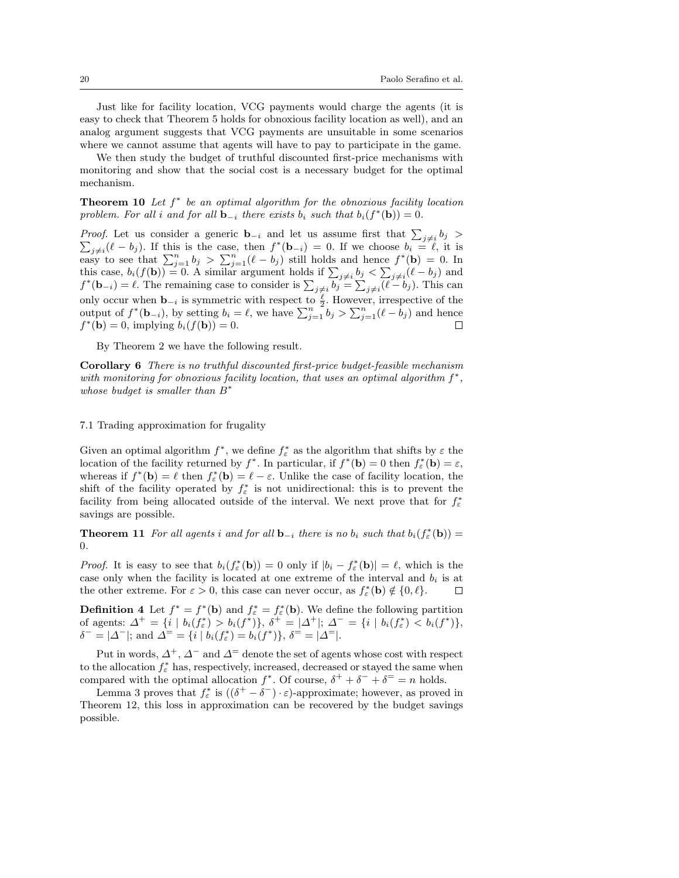Just like for facility location, VCG payments would charge the agents (it is easy to check that Theorem 5 holds for obnoxious facility location as well), and an analog argument suggests that VCG payments are unsuitable in some scenarios where we cannot assume that agents will have to pay to participate in the game.

We then study the budget of truthful discounted first-price mechanisms with monitoring and show that the social cost is a necessary budget for the optimal mechanism.

**Theorem 10** Let  $f^*$  be an optimal algorithm for the obnoxious facility location problem. For all i and for all  $\mathbf{b}_{-i}$  there exists  $b_i$  such that  $b_i(f^*(\mathbf{b})) = 0$ .

*Proof.* Let us consider a generic **b**<sub>-i</sub> and let us assume first that  $\sum_{i \neq i} b_i$ *Froof.* Let us consider a generic  $\mathbf{b}_{-i}$  and let us assume first that  $\sum_{j\neq i} o_j$   $\sum_{j\neq i} (l - b_j)$ . If this is the case, then  $f^*(\mathbf{b}_{-i}) = 0$ . If we choose  $b_i = l$ , it is easy to see that  $\sum_{j=1}^n b_j > \sum_{j=1}^n (\ell - b_j)$  still holds and hence  $f^*(\mathbf{b}) = 0$ . In this case,  $b_i(f(\mathbf{b})) = 0$ . A similar argument holds if  $\sum_{j \neq i} b_j < \sum_{j \neq i} (\ell - b_j)$  and  $f^*(\mathbf{b}_{-i}) = \ell$ . The remaining case to consider is  $\sum_{j \neq i} \overline{b_j} = \sum_{j \neq i} (\ell - b_j)$ . This can only occur when  $\mathbf{b}_{-i}$  is symmetric with respect to  $\frac{\ell}{2}$ . However, irrespective of the output of  $f^*(\mathbf{b}_{-i})$ , by setting  $b_i = \ell$ , we have  $\sum_{j=1}^n b_j > \sum_{j=1}^n (\ell - b_j)$  and hence  $f^*(\mathbf{b}) = 0$ , implying  $b_i(f(\mathbf{b})) = 0$ .

By Theorem 2 we have the following result.

Corollary 6 There is no truthful discounted first-price budget-feasible mechanism with monitoring for obnoxious facility location, that uses an optimal algorithm  $f^*$ , whose budget is smaller than  $B^*$ 

# 7.1 Trading approximation for frugality

Given an optimal algorithm  $f^*$ , we define  $f^*_{\varepsilon}$  as the algorithm that shifts by  $\varepsilon$  the location of the facility returned by  $f^*$ . In particular, if  $f^*(\mathbf{b}) = 0$  then  $f^*_{\varepsilon}(\mathbf{b}) = \varepsilon$ , whereas if  $f^*(\mathbf{b}) = \ell$  then  $f^*_{\epsilon}(\mathbf{b}) = \ell - \varepsilon$ . Unlike the case of facility location, the shift of the facility operated by  $f_{\varepsilon}^*$  is not unidirectional: this is to prevent the facility from being allocated outside of the interval. We next prove that for  $f_{\varepsilon}^*$ savings are possible.

**Theorem 11** For all agents i and for all  $\mathbf{b}_{-i}$  there is no  $b_i$  such that  $b_i(f^*_{\varepsilon}(\mathbf{b})) =$ 0.

*Proof.* It is easy to see that  $b_i(f^*_{\varepsilon}(\mathbf{b})) = 0$  only if  $|b_i - f^*_{\varepsilon}(\mathbf{b})| = \ell$ , which is the case only when the facility is located at one extreme of the interval and  $b_i$  is at the other extreme. For  $\varepsilon > 0$ , this case can never occur, as  $f_{\varepsilon}^*(\mathbf{b}) \notin \{0, \ell\}.$  $\Box$ 

**Definition 4** Let  $f^* = f^*(b)$  and  $f^* = f^*_{\varepsilon}(b)$ . We define the following partition of agents:  $\Delta^+ = \{ i \mid b_i(f^*_\varepsilon) > b_i(f^*) \}, \ \delta^+ = |\Delta^+|; \ \Delta^- = \{ i \mid b_i(f^*_\varepsilon) < b_i(f^*) \},$  $\delta^- = |\Delta^-|$ ; and  $\Delta^= = \{i \mid b_i(f^*_\varepsilon) = b_i(f^*)\}, \ \delta^- = |\Delta^-|.$ 

Put in words,  $\Delta^+$ ,  $\Delta^-$  and  $\Delta^-$  denote the set of agents whose cost with respect to the allocation  $f_{\varepsilon}^*$  has, respectively, increased, decreased or stayed the same when compared with the optimal allocation  $f^*$ . Of course,  $\delta^+ + \delta^- + \delta^= = n$  holds.

Lemma 3 proves that  $f_{\varepsilon}^*$  is  $((\delta^+ - \delta^-) \cdot \varepsilon)$ -approximate; however, as proved in Theorem 12, this loss in approximation can be recovered by the budget savings possible.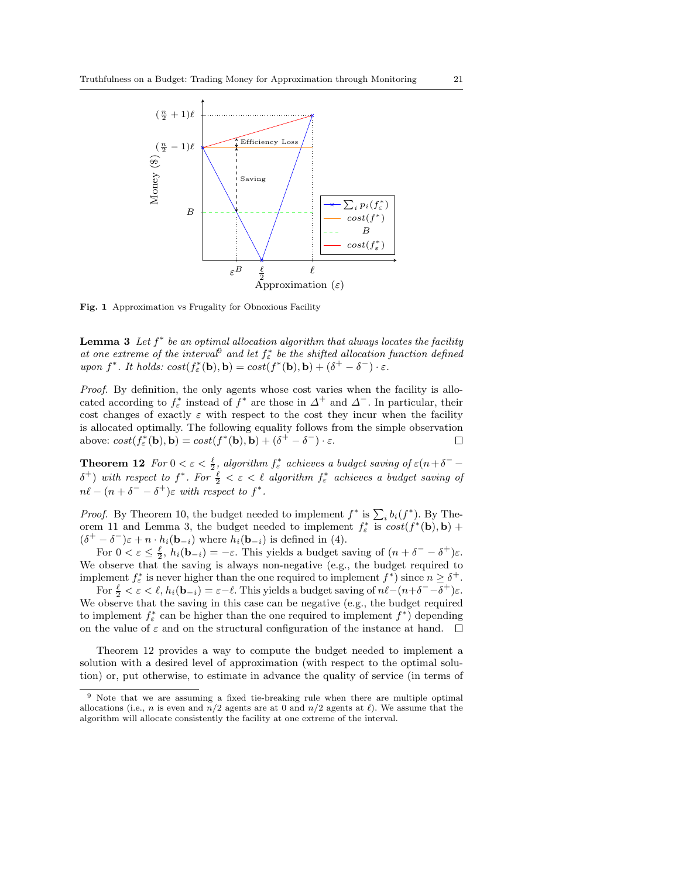

Fig. 1 Approximation vs Frugality for Obnoxious Facility

**Lemma 3** Let  $f^*$  be an optimal allocation algorithm that always locates the facility at one extreme of the interval<sup>9</sup> and let  $f^*_{\varepsilon}$  be the shifted allocation function defined upon  $f^*$ . It holds:  $cost(f^*_{\varepsilon}(\mathbf{b}), \mathbf{b}) = cost(f^*(\mathbf{b}), \mathbf{b}) + (\delta^+ - \delta^-) \cdot \varepsilon$ .

Proof. By definition, the only agents whose cost varies when the facility is allocated according to  $f_{\varepsilon}^*$  instead of  $f^*$  are those in  $\Delta^+$  and  $\Delta^-$ . In particular, their cost changes of exactly  $\varepsilon$  with respect to the cost they incur when the facility is allocated optimally. The following equality follows from the simple observation above:  $cost(f_{\varepsilon}^*(\mathbf{b}), \mathbf{b}) = cost(f^*(\mathbf{b}), \mathbf{b}) + (\delta^+ - \delta^-) \cdot \varepsilon$ .  $\Box$ 

**Theorem 12** For  $0 < \varepsilon < \frac{\ell}{2}$ , algorithm  $f^*_{\varepsilon}$  achieves a budget saving of  $\varepsilon (n+\delta^- - \frac{1}{2})$  $\delta^+$ ) with respect to  $f^*$ . For  $\frac{\ell}{2} < \varepsilon < \ell$  algorithm  $f^*_\varepsilon$  achieves a budget saving of  $n\ell - (n + \delta^- - \delta^+) \varepsilon$  with respect to  $f^*$ .

*Proof.* By Theorem 10, the budget needed to implement  $f^*$  is  $\sum_i b_i(f^*)$ . By Theorem 11 and Lemma 3, the budget needed to implement  $f_{\varepsilon}^*$  is  $cost(f^*(\mathbf{b}), \mathbf{b})$  +  $(\delta^+ - \delta^-)\varepsilon + n \cdot h_i(\mathbf{b}_{-i})$  where  $h_i(\mathbf{b}_{-i})$  is defined in (4).

For  $0 < \varepsilon \leq \frac{\ell}{2}$ ,  $h_i(\mathbf{b}_{-i}) = -\varepsilon$ . This yields a budget saving of  $(n + \delta^- - \delta^+) \varepsilon$ . We observe that the saving is always non-negative (e.g., the budget required to implement  $f^*_{\varepsilon}$  is never higher than the one required to implement  $f^*$ ) since  $n \geq \delta^+$ .

For  $\frac{\ell}{2} < \varepsilon < \ell$ ,  $h_i(\mathbf{b}_{-i}) = \varepsilon - \ell$ . This yields a budget saving of  $n\ell - (n+\delta^--\delta^+) \varepsilon$ . We observe that the saving in this case can be negative (e.g., the budget required to implement  $f^*_{\varepsilon}$  can be higher than the one required to implement  $f^*$ ) depending on the value of  $\varepsilon$  and on the structural configuration of the instance at hand.  $\square$ 

Theorem 12 provides a way to compute the budget needed to implement a solution with a desired level of approximation (with respect to the optimal solution) or, put otherwise, to estimate in advance the quality of service (in terms of

<sup>9</sup> Note that we are assuming a fixed tie-breaking rule when there are multiple optimal allocations (i.e., n is even and  $n/2$  agents are at 0 and  $n/2$  agents at  $\ell$ ). We assume that the algorithm will allocate consistently the facility at one extreme of the interval.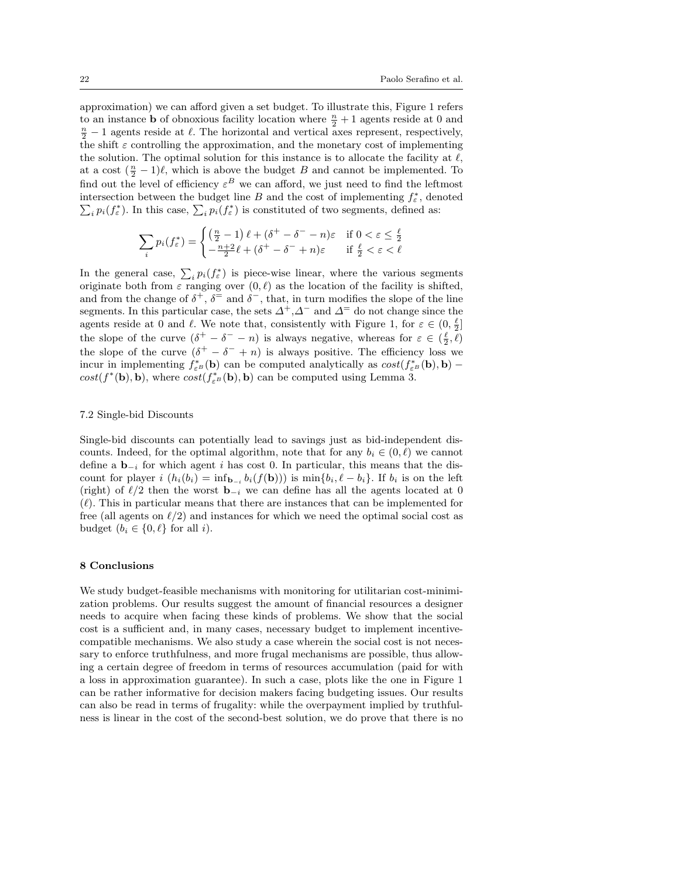approximation) we can afford given a set budget. To illustrate this, Figure 1 refers to an instance **b** of obnoxious facility location where  $\frac{n}{2} + 1$  agents reside at 0 and  $\frac{n}{2} - 1$  agents reside at  $\ell$ . The horizontal and vertical axes represent, respectively, the shift  $\varepsilon$  controlling the approximation, and the monetary cost of implementing the solution. The optimal solution for this instance is to allocate the facility at  $\ell$ , at a cost  $(\frac{n}{2} - 1)\ell$ , which is above the budget B and cannot be implemented. To find out the level of efficiency  $\varepsilon^B$  we can afford, we just need to find the leftmost intersection between the budget line B and the cost of implementing  $f_{\varepsilon}^*$ intersection between the budget line *B* and the cost of implementing  $f_{\varepsilon}^*$ , denoted  $\sum_i p_i(f_{\varepsilon}^*)$ . In this case,  $\sum_i p_i(f_{\varepsilon}^*)$  is constituted of two segments, defined as:

$$
\sum_{i} p_i(f_{\varepsilon}^*) = \begin{cases} \left(\frac{n}{2} - 1\right)\ell + (\delta^+ - \delta^- - n)\varepsilon & \text{if } 0 < \varepsilon \le \frac{\ell}{2} \\ -\frac{n+2}{2}\ell + (\delta^+ - \delta^- + n)\varepsilon & \text{if } \frac{\ell}{2} < \varepsilon < \ell \end{cases}
$$

In the general case,  $\sum_i p_i(f^*_\varepsilon)$  is piece-wise linear, where the various segments originate both from  $\varepsilon$  ranging over  $(0, \ell)$  as the location of the facility is shifted, and from the change of  $\delta^+$ ,  $\delta^-$  and  $\delta^-$ , that, in turn modifies the slope of the line segments. In this particular case, the sets  $\Delta^+$ , $\Delta^-$  and  $\Delta^-$  do not change since the agents reside at 0 and  $\ell$ . We note that, consistently with Figure 1, for  $\varepsilon \in (0, \frac{\ell}{2}]$ the slope of the curve  $(\delta^+ - \delta^- - n)$  is always negative, whereas for  $\varepsilon \in (\frac{\ell}{2}, \ell)$ the slope of the curve  $(\delta^+ - \delta^- + n)$  is always positive. The efficiency loss we incur in implementing  $f_{\varepsilon^B}^*(\mathbf{b})$  can be computed analytically as  $cost(f_{\varepsilon^B}^*(\mathbf{b}), \mathbf{b})$  –  $cost(f^*(\mathbf{b}), \mathbf{b})$ , where  $cost(f^*_{\varepsilon^B}(\mathbf{b}), \mathbf{b})$  can be computed using Lemma 3.

#### 7.2 Single-bid Discounts

Single-bid discounts can potentially lead to savings just as bid-independent discounts. Indeed, for the optimal algorithm, note that for any  $b_i \in (0, \ell)$  we cannot define a  $\mathbf{b}_{-i}$  for which agent i has cost 0. In particular, this means that the discount for player  $i(h_i(b_i) = \inf_{\mathbf{b}_{-i}} b_i(f(\mathbf{b})))$  is  $\min\{b_i, \ell - b_i\}$ . If  $b_i$  is on the left (right) of  $\ell/2$  then the worst  $\mathbf{b}_{-i}$  we can define has all the agents located at 0  $(\ell)$ . This in particular means that there are instances that can be implemented for free (all agents on  $\ell/2$ ) and instances for which we need the optimal social cost as budget  $(b_i \in \{0, \ell\})$  for all i).

#### 8 Conclusions

We study budget-feasible mechanisms with monitoring for utilitarian cost-minimization problems. Our results suggest the amount of financial resources a designer needs to acquire when facing these kinds of problems. We show that the social cost is a sufficient and, in many cases, necessary budget to implement incentivecompatible mechanisms. We also study a case wherein the social cost is not necessary to enforce truthfulness, and more frugal mechanisms are possible, thus allowing a certain degree of freedom in terms of resources accumulation (paid for with a loss in approximation guarantee). In such a case, plots like the one in Figure 1 can be rather informative for decision makers facing budgeting issues. Our results can also be read in terms of frugality: while the overpayment implied by truthfulness is linear in the cost of the second-best solution, we do prove that there is no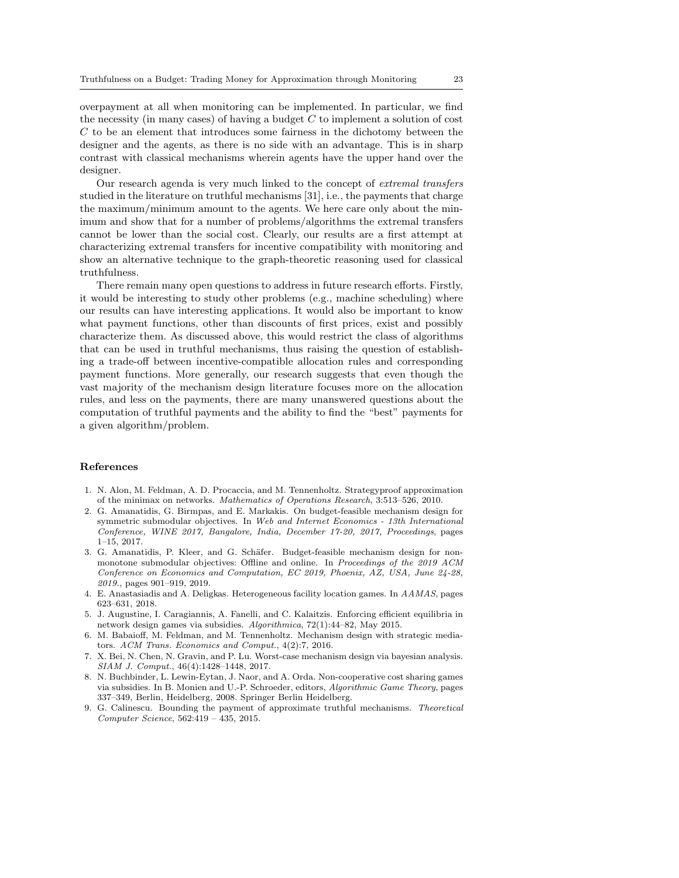overpayment at all when monitoring can be implemented. In particular, we find the necessity (in many cases) of having a budget  $C$  to implement a solution of cost C to be an element that introduces some fairness in the dichotomy between the designer and the agents, as there is no side with an advantage. This is in sharp contrast with classical mechanisms wherein agents have the upper hand over the designer.

Our research agenda is very much linked to the concept of extremal transfers studied in the literature on truthful mechanisms [31], i.e., the payments that charge the maximum/minimum amount to the agents. We here care only about the minimum and show that for a number of problems/algorithms the extremal transfers cannot be lower than the social cost. Clearly, our results are a first attempt at characterizing extremal transfers for incentive compatibility with monitoring and show an alternative technique to the graph-theoretic reasoning used for classical truthfulness.

There remain many open questions to address in future research efforts. Firstly, it would be interesting to study other problems (e.g., machine scheduling) where our results can have interesting applications. It would also be important to know what payment functions, other than discounts of first prices, exist and possibly characterize them. As discussed above, this would restrict the class of algorithms that can be used in truthful mechanisms, thus raising the question of establishing a trade-off between incentive-compatible allocation rules and corresponding payment functions. More generally, our research suggests that even though the vast majority of the mechanism design literature focuses more on the allocation rules, and less on the payments, there are many unanswered questions about the computation of truthful payments and the ability to find the "best" payments for a given algorithm/problem.

#### References

- 1. N. Alon, M. Feldman, A. D. Procaccia, and M. Tennenholtz. Strategyproof approximation of the minimax on networks. Mathematics of Operations Research, 3:513–526, 2010.
- 2. G. Amanatidis, G. Birmpas, and E. Markakis. On budget-feasible mechanism design for symmetric submodular objectives. In Web and Internet Economics - 13th International Conference, WINE 2017, Bangalore, India, December 17-20, 2017, Proceedings, pages 1–15, 2017.
- 3. G. Amanatidis, P. Kleer, and G. Schäfer. Budget-feasible mechanism design for nonmonotone submodular objectives: Offline and online. In Proceedings of the 2019 ACM Conference on Economics and Computation, EC 2019, Phoenix, AZ, USA, June 24-28, 2019., pages 901–919, 2019.
- 4. E. Anastasiadis and A. Deligkas. Heterogeneous facility location games. In AAMAS, pages 623–631, 2018.
- 5. J. Augustine, I. Caragiannis, A. Fanelli, and C. Kalaitzis. Enforcing efficient equilibria in network design games via subsidies. Algorithmica, 72(1):44–82, May 2015.
- 6. M. Babaioff, M. Feldman, and M. Tennenholtz. Mechanism design with strategic mediators. ACM Trans. Economics and Comput., 4(2):7, 2016.
- 7. X. Bei, N. Chen, N. Gravin, and P. Lu. Worst-case mechanism design via bayesian analysis. SIAM J. Comput., 46(4):1428–1448, 2017.
- 8. N. Buchbinder, L. Lewin-Eytan, J. Naor, and A. Orda. Non-cooperative cost sharing games via subsidies. In B. Monien and U.-P. Schroeder, editors, Algorithmic Game Theory, pages 337–349, Berlin, Heidelberg, 2008. Springer Berlin Heidelberg.
- 9. G. Calinescu. Bounding the payment of approximate truthful mechanisms. Theoretical Computer Science, 562:419 – 435, 2015.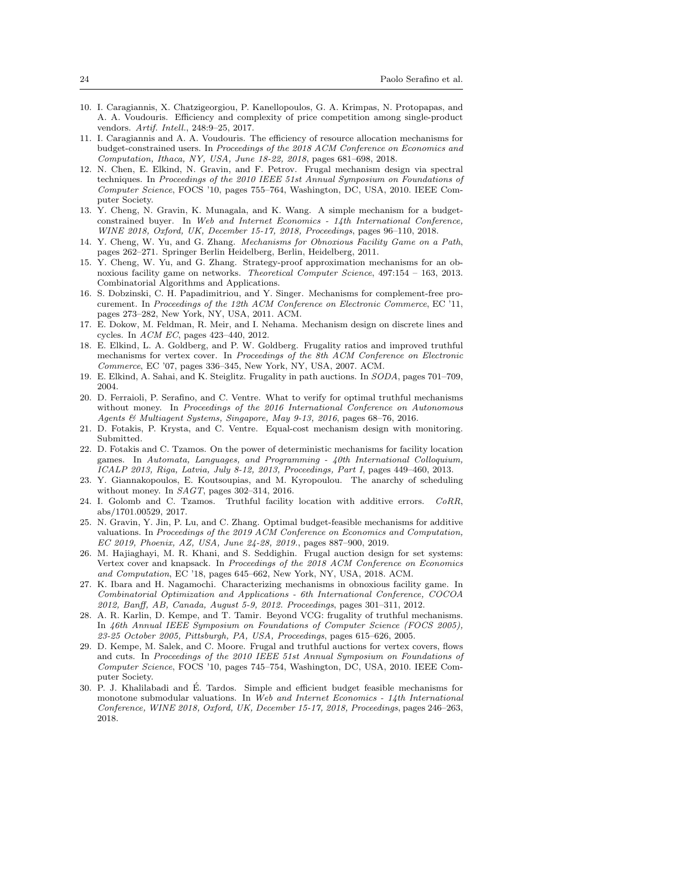- 10. I. Caragiannis, X. Chatzigeorgiou, P. Kanellopoulos, G. A. Krimpas, N. Protopapas, and A. A. Voudouris. Efficiency and complexity of price competition among single-product vendors. Artif. Intell., 248:9–25, 2017.
- 11. I. Caragiannis and A. A. Voudouris. The efficiency of resource allocation mechanisms for budget-constrained users. In Proceedings of the 2018 ACM Conference on Economics and Computation, Ithaca, NY, USA, June 18-22, 2018, pages 681–698, 2018.
- 12. N. Chen, E. Elkind, N. Gravin, and F. Petrov. Frugal mechanism design via spectral techniques. In Proceedings of the 2010 IEEE 51st Annual Symposium on Foundations of Computer Science, FOCS '10, pages 755–764, Washington, DC, USA, 2010. IEEE Computer Society.
- 13. Y. Cheng, N. Gravin, K. Munagala, and K. Wang. A simple mechanism for a budgetconstrained buyer. In Web and Internet Economics - 14th International Conference, WINE 2018, Oxford, UK, December 15-17, 2018, Proceedings, pages 96–110, 2018.
- 14. Y. Cheng, W. Yu, and G. Zhang. Mechanisms for Obnoxious Facility Game on a Path, pages 262–271. Springer Berlin Heidelberg, Berlin, Heidelberg, 2011.
- 15. Y. Cheng, W. Yu, and G. Zhang. Strategy-proof approximation mechanisms for an obnoxious facility game on networks. Theoretical Computer Science, 497:154 – 163, 2013. Combinatorial Algorithms and Applications.
- 16. S. Dobzinski, C. H. Papadimitriou, and Y. Singer. Mechanisms for complement-free procurement. In Proceedings of the 12th ACM Conference on Electronic Commerce, EC '11, pages 273–282, New York, NY, USA, 2011. ACM.
- 17. E. Dokow, M. Feldman, R. Meir, and I. Nehama. Mechanism design on discrete lines and cycles. In  $ACM$  EC, pages  $423-440$ ,  $2012$ .
- 18. E. Elkind, L. A. Goldberg, and P. W. Goldberg. Frugality ratios and improved truthful mechanisms for vertex cover. In Proceedings of the 8th ACM Conference on Electronic Commerce, EC '07, pages 336–345, New York, NY, USA, 2007. ACM.
- 19. E. Elkind, A. Sahai, and K. Steiglitz. Frugality in path auctions. In SODA, pages 701–709, 2004.
- 20. D. Ferraioli, P. Serafino, and C. Ventre. What to verify for optimal truthful mechanisms without money. In Proceedings of the 2016 International Conference on Autonomous Agents & Multiagent Systems, Singapore, May 9-13, 2016, pages 68–76, 2016.
- 21. D. Fotakis, P. Krysta, and C. Ventre. Equal-cost mechanism design with monitoring. Submitted.
- 22. D. Fotakis and C. Tzamos. On the power of deterministic mechanisms for facility location games. In Automata, Languages, and Programming - 40th International Colloquium, ICALP 2013, Riga, Latvia, July 8-12, 2013, Proceedings, Part I, pages 449–460, 2013.
- 23. Y. Giannakopoulos, E. Koutsoupias, and M. Kyropoulou. The anarchy of scheduling without money. In SAGT, pages 302–314, 2016.
- 24. I. Golomb and C. Tzamos. Truthful facility location with additive errors. CoRR, abs/1701.00529, 2017.
- 25. N. Gravin, Y. Jin, P. Lu, and C. Zhang. Optimal budget-feasible mechanisms for additive valuations. In Proceedings of the 2019 ACM Conference on Economics and Computation, EC 2019, Phoenix, AZ, USA, June 24-28, 2019., pages 887–900, 2019.
- 26. M. Hajiaghayi, M. R. Khani, and S. Seddighin. Frugal auction design for set systems: Vertex cover and knapsack. In Proceedings of the 2018 ACM Conference on Economics and Computation, EC '18, pages 645–662, New York, NY, USA, 2018. ACM.
- 27. K. Ibara and H. Nagamochi. Characterizing mechanisms in obnoxious facility game. In Combinatorial Optimization and Applications - 6th International Conference, COCOA 2012, Banff, AB, Canada, August 5-9, 2012. Proceedings, pages 301–311, 2012.
- 28. A. R. Karlin, D. Kempe, and T. Tamir. Beyond VCG: frugality of truthful mechanisms. In 46th Annual IEEE Symposium on Foundations of Computer Science (FOCS 2005), 23-25 October 2005, Pittsburgh, PA, USA, Proceedings, pages 615–626, 2005.
- 29. D. Kempe, M. Salek, and C. Moore. Frugal and truthful auctions for vertex covers, flows and cuts. In Proceedings of the 2010 IEEE 51st Annual Symposium on Foundations of Computer Science, FOCS '10, pages 745–754, Washington, DC, USA, 2010. IEEE Computer Society.
- 30. P. J. Khalilabadi and E. Tardos. Simple and efficient budget feasible mechanisms for ´ monotone submodular valuations. In Web and Internet Economics - 14th International Conference, WINE 2018, Oxford, UK, December 15-17, 2018, Proceedings, pages 246–263, 2018.